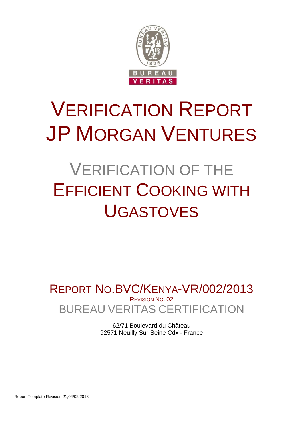

# VERIFICATION REPORT JP MORGAN VENTURES

# VERIFICATION OF THE EFFICIENT COOKING WITH UGASTOVES

BUREAU VERITAS CERTIFICATION REPORT NO.BVC/KENYA-VR/002/2013 REVISION NO. 02

> 62/71 Boulevard du Château 92571 Neuilly Sur Seine Cdx - France

Report Template Revision 21,04/02/2013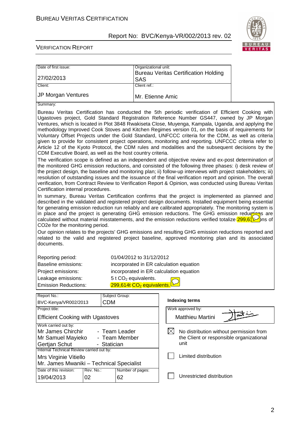

| Date of first issue:                                                                                                                                                                                                                                                                                                                                                                                                                                                                                                                                                                                                                                                                                                                                                                                                                                                                                                                                                                                                                                                                                                                                                                                                                                                                                                                                                                                                                                                                                                                                                                                                                                                                                                                                                                                                                                                                                                                                                                                                                                                                                                                                                                                               |                                                                                                    |                                       | Organizational unit:<br><b>Bureau Veritas Certification Holding</b> |  |  |
|--------------------------------------------------------------------------------------------------------------------------------------------------------------------------------------------------------------------------------------------------------------------------------------------------------------------------------------------------------------------------------------------------------------------------------------------------------------------------------------------------------------------------------------------------------------------------------------------------------------------------------------------------------------------------------------------------------------------------------------------------------------------------------------------------------------------------------------------------------------------------------------------------------------------------------------------------------------------------------------------------------------------------------------------------------------------------------------------------------------------------------------------------------------------------------------------------------------------------------------------------------------------------------------------------------------------------------------------------------------------------------------------------------------------------------------------------------------------------------------------------------------------------------------------------------------------------------------------------------------------------------------------------------------------------------------------------------------------------------------------------------------------------------------------------------------------------------------------------------------------------------------------------------------------------------------------------------------------------------------------------------------------------------------------------------------------------------------------------------------------------------------------------------------------------------------------------------------------|----------------------------------------------------------------------------------------------------|---------------------------------------|---------------------------------------------------------------------|--|--|
| 27/02/2013                                                                                                                                                                                                                                                                                                                                                                                                                                                                                                                                                                                                                                                                                                                                                                                                                                                                                                                                                                                                                                                                                                                                                                                                                                                                                                                                                                                                                                                                                                                                                                                                                                                                                                                                                                                                                                                                                                                                                                                                                                                                                                                                                                                                         |                                                                                                    | <b>SAS</b>                            |                                                                     |  |  |
| Client:                                                                                                                                                                                                                                                                                                                                                                                                                                                                                                                                                                                                                                                                                                                                                                                                                                                                                                                                                                                                                                                                                                                                                                                                                                                                                                                                                                                                                                                                                                                                                                                                                                                                                                                                                                                                                                                                                                                                                                                                                                                                                                                                                                                                            |                                                                                                    | Client ref.:                          |                                                                     |  |  |
| JP Morgan Ventures                                                                                                                                                                                                                                                                                                                                                                                                                                                                                                                                                                                                                                                                                                                                                                                                                                                                                                                                                                                                                                                                                                                                                                                                                                                                                                                                                                                                                                                                                                                                                                                                                                                                                                                                                                                                                                                                                                                                                                                                                                                                                                                                                                                                 |                                                                                                    |                                       | Mr. Etienne Amic                                                    |  |  |
| Summary:                                                                                                                                                                                                                                                                                                                                                                                                                                                                                                                                                                                                                                                                                                                                                                                                                                                                                                                                                                                                                                                                                                                                                                                                                                                                                                                                                                                                                                                                                                                                                                                                                                                                                                                                                                                                                                                                                                                                                                                                                                                                                                                                                                                                           |                                                                                                    |                                       |                                                                     |  |  |
| Bureau Veritas Certification has conducted the 5th periodic verification of Efficient Cooking with<br>Ugastoves project, Gold Standard Registration Reference Number GS447, owned by JP Morgan<br>Ventures, which is located in Plot 3848 Rwakiseta Close, Muyenga, Kampala, Uganda, and applying the<br>methodology Improved Cook Stoves and Kitchen Regimes version 01, on the basis of requirements for<br>Voluntary Offset Projects under the Gold Standard, UNFCCC criteria for the CDM, as well as criteria<br>given to provide for consistent project operations, monitoring and reporting. UNFCCC criteria refer to<br>Article 12 of the Kyoto Protocol, the CDM rules and modalities and the subsequent decisions by the<br>CDM Executive Board, as well as the host country criteria.<br>The verification scope is defined as an independent and objective review and ex-post determination of<br>the monitored GHG emission reductions, and consisted of the following three phases: i) desk review of<br>the project design, the baseline and monitoring plan; ii) follow-up interviews with project stakeholders; iii)<br>resolution of outstanding issues and the issuance of the final verification report and opinion. The overall<br>verification, from Contract Review to Verification Report & Opinion, was conducted using Bureau Veritas<br>Certification internal procedures.<br>In summary, Bureau Veritas Certification confirms that the project is implemented as planned and<br>described in the validated and registered project design documents. Installed equipment being essential<br>for generating emission reduction run reliably and are calibrated appropriately. The monitoring system is<br>in place and the project is generating GHG emission reductions. The GHG emission reductions<br>calculated without material misstatements, and the emission reductions verified totalize $299.6\frac{1}{2}$ hs of<br>CO2e for the monitoring period.<br>Our opinion relates to the projects' GHG emissions and resulting GHG emission reductions reported and<br>related to the valid and registered project baseline, approved monitoring plan and its associated<br>documents. |                                                                                                    |                                       |                                                                     |  |  |
| Reporting period:                                                                                                                                                                                                                                                                                                                                                                                                                                                                                                                                                                                                                                                                                                                                                                                                                                                                                                                                                                                                                                                                                                                                                                                                                                                                                                                                                                                                                                                                                                                                                                                                                                                                                                                                                                                                                                                                                                                                                                                                                                                                                                                                                                                                  |                                                                                                    | 01/04/2012 to 31/12/2012              |                                                                     |  |  |
| Baseline emissions:                                                                                                                                                                                                                                                                                                                                                                                                                                                                                                                                                                                                                                                                                                                                                                                                                                                                                                                                                                                                                                                                                                                                                                                                                                                                                                                                                                                                                                                                                                                                                                                                                                                                                                                                                                                                                                                                                                                                                                                                                                                                                                                                                                                                |                                                                                                    |                                       | incorporated in ER calculation equation                             |  |  |
| Project emissions:                                                                                                                                                                                                                                                                                                                                                                                                                                                                                                                                                                                                                                                                                                                                                                                                                                                                                                                                                                                                                                                                                                                                                                                                                                                                                                                                                                                                                                                                                                                                                                                                                                                                                                                                                                                                                                                                                                                                                                                                                                                                                                                                                                                                 |                                                                                                    |                                       | incorporated in ER calculation equation                             |  |  |
| Leakage emissions:                                                                                                                                                                                                                                                                                                                                                                                                                                                                                                                                                                                                                                                                                                                                                                                                                                                                                                                                                                                                                                                                                                                                                                                                                                                                                                                                                                                                                                                                                                                                                                                                                                                                                                                                                                                                                                                                                                                                                                                                                                                                                                                                                                                                 |                                                                                                    | $5$ t CO <sub>2</sub> equivalents.    |                                                                     |  |  |
| <b>Emission Reductions:</b>                                                                                                                                                                                                                                                                                                                                                                                                                                                                                                                                                                                                                                                                                                                                                                                                                                                                                                                                                                                                                                                                                                                                                                                                                                                                                                                                                                                                                                                                                                                                                                                                                                                                                                                                                                                                                                                                                                                                                                                                                                                                                                                                                                                        |                                                                                                    | 299,614t CO <sub>2</sub> equivalents. |                                                                     |  |  |
|                                                                                                                                                                                                                                                                                                                                                                                                                                                                                                                                                                                                                                                                                                                                                                                                                                                                                                                                                                                                                                                                                                                                                                                                                                                                                                                                                                                                                                                                                                                                                                                                                                                                                                                                                                                                                                                                                                                                                                                                                                                                                                                                                                                                                    |                                                                                                    |                                       |                                                                     |  |  |
| Report No.:<br>BVC-Kenya/VR002/2013                                                                                                                                                                                                                                                                                                                                                                                                                                                                                                                                                                                                                                                                                                                                                                                                                                                                                                                                                                                                                                                                                                                                                                                                                                                                                                                                                                                                                                                                                                                                                                                                                                                                                                                                                                                                                                                                                                                                                                                                                                                                                                                                                                                | <b>CDM</b>                                                                                         | Subject Group:                        | <b>Indexing terms</b>                                               |  |  |
| Project title:                                                                                                                                                                                                                                                                                                                                                                                                                                                                                                                                                                                                                                                                                                                                                                                                                                                                                                                                                                                                                                                                                                                                                                                                                                                                                                                                                                                                                                                                                                                                                                                                                                                                                                                                                                                                                                                                                                                                                                                                                                                                                                                                                                                                     |                                                                                                    |                                       | Work approved by:                                                   |  |  |
| <b>Efficient Cooking with Ugastoves</b>                                                                                                                                                                                                                                                                                                                                                                                                                                                                                                                                                                                                                                                                                                                                                                                                                                                                                                                                                                                                                                                                                                                                                                                                                                                                                                                                                                                                                                                                                                                                                                                                                                                                                                                                                                                                                                                                                                                                                                                                                                                                                                                                                                            |                                                                                                    |                                       | $\overline{\mathsf{a}}\mathsf{x}$ $\sim$<br><b>Matthieu Martini</b> |  |  |
| Work carried out by:                                                                                                                                                                                                                                                                                                                                                                                                                                                                                                                                                                                                                                                                                                                                                                                                                                                                                                                                                                                                                                                                                                                                                                                                                                                                                                                                                                                                                                                                                                                                                                                                                                                                                                                                                                                                                                                                                                                                                                                                                                                                                                                                                                                               |                                                                                                    | - Team Leader                         |                                                                     |  |  |
| Mr James Chirchir<br>Mr Samuel Mayieko                                                                                                                                                                                                                                                                                                                                                                                                                                                                                                                                                                                                                                                                                                                                                                                                                                                                                                                                                                                                                                                                                                                                                                                                                                                                                                                                                                                                                                                                                                                                                                                                                                                                                                                                                                                                                                                                                                                                                                                                                                                                                                                                                                             | $\boxtimes$<br>No distribution without permission from<br>the Client or responsible organizational |                                       |                                                                     |  |  |
| Gertjan Schut                                                                                                                                                                                                                                                                                                                                                                                                                                                                                                                                                                                                                                                                                                                                                                                                                                                                                                                                                                                                                                                                                                                                                                                                                                                                                                                                                                                                                                                                                                                                                                                                                                                                                                                                                                                                                                                                                                                                                                                                                                                                                                                                                                                                      | - Statician                                                                                        | - Team Member                         | unit                                                                |  |  |
| Internal Technical Review carried out by:                                                                                                                                                                                                                                                                                                                                                                                                                                                                                                                                                                                                                                                                                                                                                                                                                                                                                                                                                                                                                                                                                                                                                                                                                                                                                                                                                                                                                                                                                                                                                                                                                                                                                                                                                                                                                                                                                                                                                                                                                                                                                                                                                                          |                                                                                                    |                                       |                                                                     |  |  |
| Mrs Virginie Vitiello                                                                                                                                                                                                                                                                                                                                                                                                                                                                                                                                                                                                                                                                                                                                                                                                                                                                                                                                                                                                                                                                                                                                                                                                                                                                                                                                                                                                                                                                                                                                                                                                                                                                                                                                                                                                                                                                                                                                                                                                                                                                                                                                                                                              |                                                                                                    |                                       | Limited distribution                                                |  |  |
| Mr. James Mwaniki - Technical Specialist                                                                                                                                                                                                                                                                                                                                                                                                                                                                                                                                                                                                                                                                                                                                                                                                                                                                                                                                                                                                                                                                                                                                                                                                                                                                                                                                                                                                                                                                                                                                                                                                                                                                                                                                                                                                                                                                                                                                                                                                                                                                                                                                                                           |                                                                                                    |                                       |                                                                     |  |  |
| Date of this revision:<br>Number of pages:<br>Rev. No.:                                                                                                                                                                                                                                                                                                                                                                                                                                                                                                                                                                                                                                                                                                                                                                                                                                                                                                                                                                                                                                                                                                                                                                                                                                                                                                                                                                                                                                                                                                                                                                                                                                                                                                                                                                                                                                                                                                                                                                                                                                                                                                                                                            |                                                                                                    |                                       |                                                                     |  |  |
| 19/04/2013                                                                                                                                                                                                                                                                                                                                                                                                                                                                                                                                                                                                                                                                                                                                                                                                                                                                                                                                                                                                                                                                                                                                                                                                                                                                                                                                                                                                                                                                                                                                                                                                                                                                                                                                                                                                                                                                                                                                                                                                                                                                                                                                                                                                         | 02                                                                                                 | 62                                    | Unrestricted distribution                                           |  |  |
|                                                                                                                                                                                                                                                                                                                                                                                                                                                                                                                                                                                                                                                                                                                                                                                                                                                                                                                                                                                                                                                                                                                                                                                                                                                                                                                                                                                                                                                                                                                                                                                                                                                                                                                                                                                                                                                                                                                                                                                                                                                                                                                                                                                                                    |                                                                                                    |                                       |                                                                     |  |  |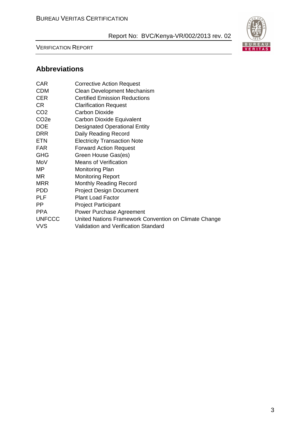VERIFICATION REPORT



# **Abbreviations**

| <b>CAR</b>       | <b>Corrective Action Request</b>                      |
|------------------|-------------------------------------------------------|
| <b>CDM</b>       | Clean Development Mechanism                           |
| <b>CER</b>       | <b>Certified Emission Reductions</b>                  |
| CR.              | <b>Clarification Request</b>                          |
| CO <sub>2</sub>  | <b>Carbon Dioxide</b>                                 |
| CO <sub>2e</sub> | Carbon Dioxide Equivalent                             |
| <b>DOE</b>       | <b>Designated Operational Entity</b>                  |
| <b>DRR</b>       | Daily Reading Record                                  |
| <b>ETN</b>       | <b>Electricity Transaction Note</b>                   |
| <b>FAR</b>       | <b>Forward Action Request</b>                         |
| <b>GHG</b>       | Green House Gas(es)                                   |
| MoV              | <b>Means of Verification</b>                          |
| ΜP               | <b>Monitoring Plan</b>                                |
| ΜR               | <b>Monitoring Report</b>                              |
| <b>MRR</b>       | <b>Monthly Reading Record</b>                         |
| <b>PDD</b>       | <b>Project Design Document</b>                        |
| <b>PLF</b>       | <b>Plant Load Factor</b>                              |
| РP               | <b>Project Participant</b>                            |
| <b>PPA</b>       | <b>Power Purchase Agreement</b>                       |
| <b>UNFCCC</b>    | United Nations Framework Convention on Climate Change |
| <b>VVS</b>       | Validation and Verification Standard                  |
|                  |                                                       |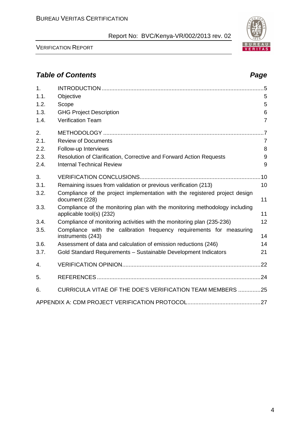VERIFICATION REPORT

4

# **Table of Contents Page 2018**

| 1.   |                                                                                                         |                |
|------|---------------------------------------------------------------------------------------------------------|----------------|
| 1.1. | Objective                                                                                               | 5              |
| 1.2. | Scope                                                                                                   | 5              |
| 1.3. | <b>GHG Project Description</b>                                                                          | 6              |
| 1.4. | <b>Verification Team</b>                                                                                | $\overline{7}$ |
| 2.   |                                                                                                         | $\overline{7}$ |
| 2.1. | <b>Review of Documents</b>                                                                              | $\overline{7}$ |
| 2.2. | Follow-up Interviews                                                                                    | 8              |
| 2.3. | Resolution of Clarification, Corrective and Forward Action Requests                                     | 9              |
| 2.4. | <b>Internal Technical Review</b>                                                                        | 9              |
| 3.   |                                                                                                         |                |
| 3.1. | Remaining issues from validation or previous verification (213)                                         | 10             |
| 3.2. | Compliance of the project implementation with the registered project design<br>document (228)           | 11             |
| 3.3. | Compliance of the monitoring plan with the monitoring methodology including<br>applicable tool(s) (232) | 11             |
| 3.4. | Compliance of monitoring activities with the monitoring plan (235-236)                                  | 12             |
| 3.5. | Compliance with the calibration frequency requirements for measuring<br>instruments (243)               | 14             |
| 3.6. | Assessment of data and calculation of emission reductions (246)                                         | 14             |
| 3.7. | Gold Standard Requirements - Sustainable Development Indicators                                         | 21             |
| 4.   |                                                                                                         |                |
| 5.   |                                                                                                         |                |
| 6.   | CURRICULA VITAE OF THE DOE'S VERIFICATION TEAM MEMBERS 25                                               |                |
|      |                                                                                                         |                |

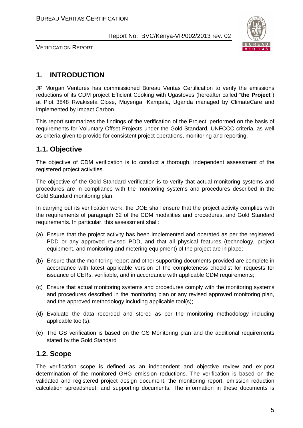

VERIFICATION REPORT

# **1. INTRODUCTION**

JP Morgan Ventures has commissioned Bureau Veritas Certification to verify the emissions reductions of its CDM project Efficient Cooking with Ugastoves (hereafter called "**the Project**") at Plot 3848 Rwakiseta Close, Muyenga, Kampala, Uganda managed by ClimateCare and implemented by Impact Carbon.

This report summarizes the findings of the verification of the Project, performed on the basis of requirements for Voluntary Offset Projects under the Gold Standard, UNFCCC criteria, as well as criteria given to provide for consistent project operations, monitoring and reporting.

# **1.1. Objective**

The objective of CDM verification is to conduct a thorough, independent assessment of the registered project activities.

The objective of the Gold Standard verification is to verify that actual monitoring systems and procedures are in compliance with the monitoring systems and procedures described in the Gold Standard monitoring plan.

In carrying out its verification work, the DOE shall ensure that the project activity complies with the requirements of paragraph 62 of the CDM modalities and procedures, and Gold Standard requirements. In particular, this assessment shall:

- (a) Ensure that the project activity has been implemented and operated as per the registered PDD or any approved revised PDD, and that all physical features (technology, project equipment, and monitoring and metering equipment) of the project are in place;
- (b) Ensure that the monitoring report and other supporting documents provided are complete in accordance with latest applicable version of the completeness checklist for requests for issuance of CERs, verifiable, and in accordance with applicable CDM requirements;
- (c) Ensure that actual monitoring systems and procedures comply with the monitoring systems and procedures described in the monitoring plan or any revised approved monitoring plan, and the approved methodology including applicable tool(s);
- (d) Evaluate the data recorded and stored as per the monitoring methodology including applicable tool(s).
- (e) The GS verification is based on the GS Monitoring plan and the additional requirements stated by the Gold Standard

### **1.2. Scope**

The verification scope is defined as an independent and objective review and ex-post determination of the monitored GHG emission reductions. The verification is based on the validated and registered project design document, the monitoring report, emission reduction calculation spreadsheet, and supporting documents. The information in these documents is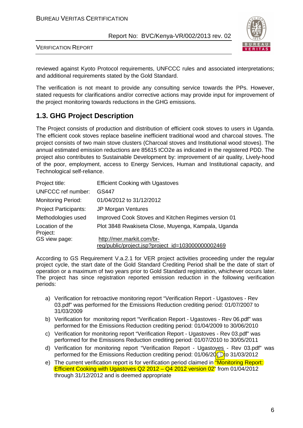

VERIFICATION REPORT

reviewed against Kyoto Protocol requirements, UNFCCC rules and associated interpretations; and additional requirements stated by the Gold Standard.

The verification is not meant to provide any consulting service towards the PPs. However, stated requests for clarifications and/or corrective actions may provide input for improvement of the project monitoring towards reductions in the GHG emissions.

# **1.3. GHG Project Description**

The Project consists of production and distribution of efficient cook stoves to users in Uganda. The efficient cook stoves replace baseline inefficient traditional wood and charcoal stoves. The project consists of two main stove clusters (Charcoal stoves and Institutional wood stoves). The annual estimated emission reductions are 85615 tCO2e as indicated in the registered PDD. The project also contributes to Sustainable Development by: improvement of air quality, Lively-hood of the poor, employment, access to Energy Services, Human and Institutional capacity, and Technological self-reliance.

| Project title:               | <b>Efficient Cooking with Ugastoves</b>                                        |
|------------------------------|--------------------------------------------------------------------------------|
| <b>UNFCCC</b> ref number:    | GS447                                                                          |
| <b>Monitoring Period:</b>    | 01/04/2012 to 31/12/2012                                                       |
| <b>Project Participants:</b> | JP Morgan Ventures                                                             |
| Methodologies used           | Improved Cook Stoves and Kitchen Regimes version 01                            |
| Location of the<br>Project:  | Plot 3848 Rwakiseta Close, Muyenga, Kampala, Uganda                            |
| GS view page:                | http://mer.markit.com/br-<br>reg/public/project.jsp?project_id=103000000002469 |

According to GS Requirement V.a.2.1 for VER project activities proceeding under the regular project cycle, the start date of the Gold Standard Crediting Period shall be the date of start of operation or a maximum of two years prior to Gold Standard registration, whichever occurs later. The project has since registration reported emission reduction in the following verification periods:

- a) Verification for retroactive monitoring report "Verification Report Ugastoves Rev 03.pdf" was performed for the Emissions Reduction crediting period: 01/07/2007 to 31/03/2009
- b) Verification for monitoring report "Verification Report Ugastoves Rev 06.pdf" was performed for the Emissions Reduction crediting period: 01/04/2009 to 30/06/2010
- c) Verification for monitoring report "Verification Report Ugastoves Rev 03.pdf" was performed for the Emissions Reduction crediting period: 01/07/2010 to 30/05/2011
- d) Verification for monitoring report "Verification Report Ugastoves Rev 03.pdf" was performed for the Emissions Reduction crediting period:  $01/06/20$  to 31/03/2012
- e) The current verification report is for verification period claimed in **"Monitoring Report:** Efficient Cooking with Ugastoves Q2 2012 – Q4 2012 version 02" from 01/04/2012 through 31/12/2012 and is deemed appropriate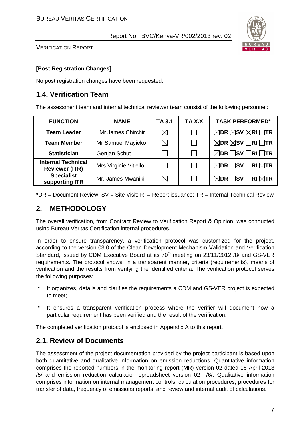

VERIFICATION REPORT

#### **[Post Registration Changes]**

No post registration changes have been requested.

# **1.4. Verification Team**

The assessment team and internal technical reviewer team consist of the following personnel:

| <b>FUNCTION</b>                                    | <b>NAME</b>           | TA 3.1      | TA X.X | <b>TASK PERFORMED*</b>                                 |
|----------------------------------------------------|-----------------------|-------------|--------|--------------------------------------------------------|
| <b>Team Leader</b>                                 | Mr James Chirchir     | $\boxtimes$ |        | $\boxtimes$ DR $\boxtimes$ SV $\boxtimes$ RI $\Box$ TR |
| <b>Team Member</b>                                 | Mr Samuel Mayieko     | $\boxtimes$ |        | $\boxtimes$ DR $\boxtimes$ SV $\Box$ RI $\Box$ TR      |
| <b>Statistician</b>                                | Gertjan Schut         |             |        | $\boxtimes$ DR $\Box$ SV $\Box$ RI $\Box$ TR           |
| <b>Internal Technical</b><br><b>Reviewer (ITR)</b> | Mrs Virginie Vitiello |             |        | $\boxtimes$ DR $\Box$ SV $\Box$ RI $\boxtimes$ TR      |
| <b>Specialist</b><br>supporting ITR                | Mr. James Mwaniki     | $\boxtimes$ |        | $\boxtimes$ DR $\Box$ SV $\Box$ RI $\boxtimes$ TR      |

 $*DR = Document Review; SV = Site Visit; RI = Report tissue; TR = Internal Technical Review$ 

# **2. METHODOLOGY**

The overall verification, from Contract Review to Verification Report & Opinion, was conducted using Bureau Veritas Certification internal procedures.

In order to ensure transparency, a verification protocol was customized for the project, according to the version 03.0 of the Clean Development Mechanism Validation and Verification Standard, issued by CDM Executive Board at its 70<sup>th</sup> meeting on 23/11/2012 /8/ and GS-VER requirements. The protocol shows, in a transparent manner, criteria (requirements), means of verification and the results from verifying the identified criteria. The verification protocol serves the following purposes:

 It organizes, details and clarifies the requirements a CDM and GS-VER project is expected to meet;

 It ensures a transparent verification process where the verifier will document how a particular requirement has been verified and the result of the verification.

The completed verification protocol is enclosed in Appendix A to this report.

# **2.1. Review of Documents**

The assessment of the project documentation provided by the project participant is based upon both quantitative and qualitative information on emission reductions. Quantitative information comprises the reported numbers in the monitoring report (MR) version 02 dated 16 April 2013 /5/ and emission reduction calculation spreadsheet version 02 /6/. Qualitative information comprises information on internal management controls, calculation procedures, procedures for transfer of data, frequency of emissions reports, and review and internal audit of calculations.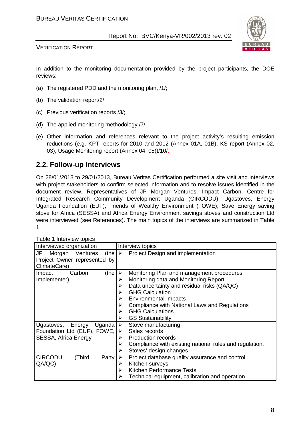

VERIFICATION REPORT

In addition to the monitoring documentation provided by the project participants, the DOE reviews:

- (a) The registered PDD and the monitoring plan, /1/;
- (b) The validation report/2/
- (c) Previous verification reports /3/;
- (d) The applied monitoring methodology /7/;
- (e) Other information and references relevant to the project activity's resulting emission reductions (e.g. KPT reports for 2010 and 2012 (Annex 01A, 01B), KS report (Annex 02, 03), Usage Monitoring report (Annex 04, 05))/10/.

# **2.2. Follow-up Interviews**

On 28/01/2013 to 29/01/2013, Bureau Veritas Certification performed a site visit and interviews with project stakeholders to confirm selected information and to resolve issues identified in the document review. Representatives of JP Morgan Ventures, Impact Carbon, Centre for Integrated Research Community Development Uganda (CIRCODU), Ugastoves, Energy Uganda Foundation (EUF), Friends of Wealthy Environment (FOWE), Save Energy saving stove for Africa (SESSA) and Africa Energy Environment savings stoves and construction Ltd were interviewed (see References). The main topics of the interviews are summarized in Table 1.

| <b>I QUID I IIIIDI VIDIV IUPIDO</b>               |                                                              |
|---------------------------------------------------|--------------------------------------------------------------|
| Interviewed organization                          | Interview topics                                             |
| JP<br>Ventures<br>(the $\triangleright$<br>Morgan | Project Design and implementation                            |
| Project Owner represented by<br>ClimateCare)      |                                                              |
| (the $\triangleright$<br>Carbon<br>Impact         | Monitoring Plan and management procedures                    |
| Implementer)                                      | Monitoring data and Monitoring Report<br>➤                   |
|                                                   | Data uncertainty and residual risks (QA/QC)                  |
|                                                   | <b>GHG Calculation</b>                                       |
|                                                   | <b>Environmental Impacts</b><br>⋗                            |
|                                                   | Compliance with National Laws and Regulations<br>➤           |
|                                                   | <b>GHG Calculations</b><br>➤                                 |
|                                                   | <b>GS Sustainability</b><br>⋗                                |
| Ugastoves, Energy<br>Uganda $\triangleright$      | Stove manufacturing                                          |
| Foundation Ltd (EUF), FOWE,                       | Sales records<br>$\triangleright$                            |
| SESSA, Africa Energy                              | <b>Production records</b>                                    |
|                                                   | Compliance with existing national rules and regulation.<br>➤ |
|                                                   | Stoves' design changes                                       |
| <b>CIRCODU</b><br>(Third<br>Party                 | Project database quality assurance and control               |
| QA/QC)                                            | Kitchen surveys<br>➤                                         |
|                                                   | Kitchen Performance Tests<br>⋗                               |
|                                                   | Technical equipment, calibration and operation               |

Table 1 Interview topics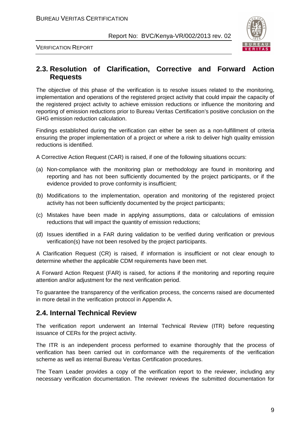

VERIFICATION REPORT

### **2.3. Resolution of Clarification, Corrective and Forward Action Requests**

The objective of this phase of the verification is to resolve issues related to the monitoring, implementation and operations of the registered project activity that could impair the capacity of the registered project activity to achieve emission reductions or influence the monitoring and reporting of emission reductions prior to Bureau Veritas Certification's positive conclusion on the GHG emission reduction calculation.

Findings established during the verification can either be seen as a non-fulfillment of criteria ensuring the proper implementation of a project or where a risk to deliver high quality emission reductions is identified.

A Corrective Action Request (CAR) is raised, if one of the following situations occurs:

- (a) Non-compliance with the monitoring plan or methodology are found in monitoring and reporting and has not been sufficiently documented by the project participants, or if the evidence provided to prove conformity is insufficient;
- (b) Modifications to the implementation, operation and monitoring of the registered project activity has not been sufficiently documented by the project participants;
- (c) Mistakes have been made in applying assumptions, data or calculations of emission reductions that will impact the quantity of emission reductions;
- (d) Issues identified in a FAR during validation to be verified during verification or previous verification(s) have not been resolved by the project participants.

A Clarification Request (CR) is raised, if information is insufficient or not clear enough to determine whether the applicable CDM requirements have been met.

A Forward Action Request (FAR) is raised, for actions if the monitoring and reporting require attention and/or adjustment for the next verification period.

To guarantee the transparency of the verification process, the concerns raised are documented in more detail in the verification protocol in Appendix A.

### **2.4. Internal Technical Review**

The verification report underwent an Internal Technical Review (ITR) before requesting issuance of CERs for the project activity.

The ITR is an independent process performed to examine thoroughly that the process of verification has been carried out in conformance with the requirements of the verification scheme as well as internal Bureau Veritas Certification procedures.

The Team Leader provides a copy of the verification report to the reviewer, including any necessary verification documentation. The reviewer reviews the submitted documentation for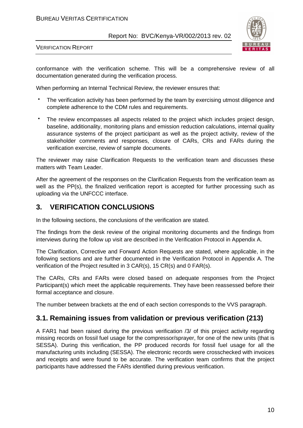#### BUREAU VERITAS CERTIFICATION

Report No: BVC/Kenya-VR/002/2013 rev. 02



VERIFICATION REPORT

conformance with the verification scheme. This will be a comprehensive review of all documentation generated during the verification process.

When performing an Internal Technical Review, the reviewer ensures that:

 The verification activity has been performed by the team by exercising utmost diligence and complete adherence to the CDM rules and requirements.

 The review encompasses all aspects related to the project which includes project design, baseline, additionality, monitoring plans and emission reduction calculations, internal quality assurance systems of the project participant as well as the project activity, review of the stakeholder comments and responses, closure of CARs, CRs and FARs during the verification exercise, review of sample documents.

The reviewer may raise Clarification Requests to the verification team and discusses these matters with Team Leader.

After the agreement of the responses on the Clarification Requests from the verification team as well as the PP(s), the finalized verification report is accepted for further processing such as uploading via the UNFCCC interface.

### **3. VERIFICATION CONCLUSIONS**

In the following sections, the conclusions of the verification are stated.

The findings from the desk review of the original monitoring documents and the findings from interviews during the follow up visit are described in the Verification Protocol in Appendix A.

The Clarification, Corrective and Forward Action Requests are stated, where applicable, in the following sections and are further documented in the Verification Protocol in Appendix A. The verification of the Project resulted in 3 CAR(s), 15 CR(s) and 0 FAR(s).

The CARs, CRs and FARs were closed based on adequate responses from the Project Participant(s) which meet the applicable requirements. They have been reassessed before their formal acceptance and closure.

The number between brackets at the end of each section corresponds to the VVS paragraph.

### **3.1. Remaining issues from validation or previous verification (213)**

A FAR1 had been raised during the previous verification /3/ of this project activity regarding missing records on fossil fuel usage for the compressor/sprayer, for one of the new units (that is SESSA). During this verification, the PP produced records for fossil fuel usage for all the manufacturing units including (SESSA). The electronic records were crosschecked with invoices and receipts and were found to be accurate. The verification team confirms that the project participants have addressed the FARs identified during previous verification.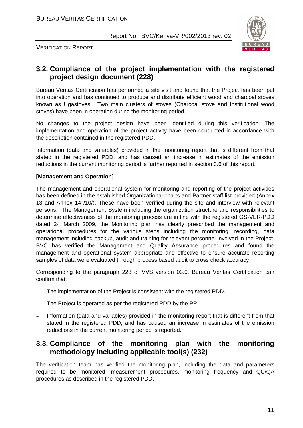

VERIFICATION REPORT

# **3.2. Compliance of the project implementation with the registered project design document (228)**

Bureau Veritas Certification has performed a site visit and found that the Project has been put into operation and has continued to produce and distribute efficient wood and charcoal stoves known as Ugastoves. Two main clusters of stoves (Charcoal stove and Institutional wood stoves) have been in operation during the monitoring period.

No changes to the project design have been identified during this verification. The implementation and operation of the project activity have been conducted in accordance with the description contained in the registered PDD.

Information (data and variables) provided in the monitoring report that is different from that stated in the registered PDD, and has caused an increase in estimates of the emission reductions in the current monitoring period is further reported in section 3.6 of this report.

#### **[Management and Operation]**

The management and operational system for monitoring and reporting of the project activities has been defined in the established Organizational charts and Partner staff list provided (Annex 13 and Annex 14 /10/). These have been verified during the site and interview with relevant persons. The Management System including the organization structure and responsibilities to determine effectiveness of the monitoring process are in line with the registered GS-VER-PDD dated 24 March 2009, the Monitoring plan has clearly prescribed the management and operational procedures for the various steps including the monitoring, recording, data management including backup, audit and training for relevant personnel involved in the Project. BVC has verified the Management and Quality Assurance procedures and found the management and operational system appropriate and effective to ensure accurate reporting samples of data were evaluated through process based audit to cross check accuracy

Corresponding to the paragraph 228 of VVS version 03.0, Bureau Veritas Certification can confirm that:

- The implementation of the Project is consistent with the registered PDD.
- The Project is operated as per the registered PDD by the PP.
- Information (data and variables) provided in the monitoring report that is different from that stated in the registered PDD, and has caused an increase in estimates of the emission reductions in the current monitoring period is reported.

### **3.3. Compliance of the monitoring plan with the monitoring methodology including applicable tool(s) (232)**

The verification team has verified the monitoring plan, including the data and parameters required to be monitored, measurement procedures, monitoring frequency and QC/QA procedures as described in the registered PDD.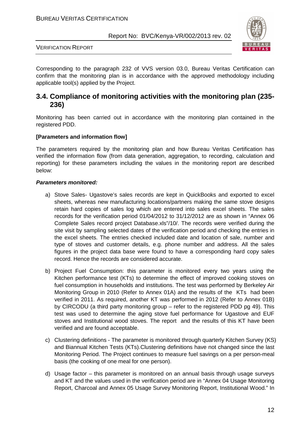

VERIFICATION REPORT

Corresponding to the paragraph 232 of VVS version 03.0, Bureau Veritas Certification can confirm that the monitoring plan is in accordance with the approved methodology including applicable tool(s) applied by the Project.

### **3.4. Compliance of monitoring activities with the monitoring plan (235- 236)**

Monitoring has been carried out in accordance with the monitoring plan contained in the registered PDD.

#### **[Parameters and information flow]**

The parameters required by the monitoring plan and how Bureau Veritas Certification has verified the information flow (from data generation, aggregation, to recording, calculation and reporting) for these parameters including the values in the monitoring report are described below:

#### **Parameters monitored:**

- a) Stove Sales- Ugastove's sales records are kept in QuickBooks and exported to excel sheets, whereas new manufacturing locations/partners making the same stove designs retain hard copies of sales log which are entered into sales excel sheets. The sales records for the verification period 01/04/2012 to 31/12/2012 are as shown in "Annex 06 Complete Sales record project Database.xls"/10/. The records were verified during the site visit by sampling selected dates of the verification period and checking the entries in the excel sheets. The entries checked included date and location of sale, number and type of stoves and customer details, e.g. phone number and address. All the sales figures in the project data base were found to have a corresponding hard copy sales record. Hence the records are considered accurate.
- b) Project Fuel Consumption: this parameter is monitored every two years using the Kitchen performance test (KTs) to determine the effect of improved cooking stoves on fuel consumption in households and institutions. The test was performed by Berkeley Air Monitoring Group in 2010 (Refer to Annex 01A) and the results of the KTs had been verified in 2011. As required, another KT was performed in 2012 (Refer to Annex 01B) by CIRCODU (a third party monitoring group – refer to the registered PDD pg 49). This test was used to determine the aging stove fuel performance for Ugastove and EUF stoves and Institutional wood stoves. The report and the results of this KT have been verified and are found acceptable.
- c) Clustering definitions The parameter is monitored through quarterly Kitchen Survey (KS) and Biannual Kitchen Tests (KTs).Clustering definitions have not changed since the last Monitoring Period. The Project continues to measure fuel savings on a per person-meal basis (the cooking of one meal for one person).
- d) Usage factor this parameter is monitored on an annual basis through usage surveys and KT and the values used in the verification period are in "Annex 04 Usage Monitoring Report, Charcoal and Annex 05 Usage Survey Monitoring Report, Institutional Wood." In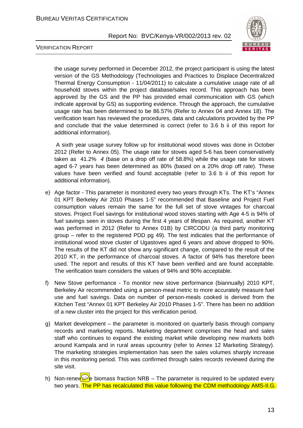

VERIFICATION REPORT

the usage survey performed in December 2012, the project participant is using the latest version of the GS Methodology (Technologies and Practices to Displace Decentralized Thermal Energy Consumption - 11/04/2011) to calculate a cumulative usage rate of all household stoves within the project database/sales record. This approach has been approved by the GS and the PP has provided email communication with GS (which indicate approval by GS) as supporting evidence. Through the approach, the cumulative usage rate has been determined to be 86.57% (Refer to Annex 04 and Annex 18). The verification team has reviewed the procedures, data and calculations provided by the PP and conclude that the value determined is correct (refer to 3.6 b ii of this report for additional information).

 A sixth year usage survey follow up for institutional wood stoves was done in October 2012 (Refer to Annex 05). The usage rate for stoves aged 5-6 has been conservatively taken as  $41.2\%$  4 (base on a drop off rate of 58.8%) while the usage rate for stoves aged 6-7 years has been determined as 80% (based on a 20% drop off rate). These values have been verified and found acceptable (refer to 3.6 b ii of this report for additional information).

- e) Age factor This parameter is monitored every two years through KTs. The KT's "Annex 01 KPT Berkeley Air 2010 Phases 1-5" recommended that Baseline and Project Fuel consumption values remain the same for the full set of stove vintages for charcoal stoves. Project Fuel savings for institutional wood stoves starting with Age 4-5 is 94% of fuel savings seen in stoves during the first 4 years of lifespan. As required, another KT was performed in 2012 (Refer to Annex 01B) by CIRCODU (a third party monitoring group – refer to the registered PDD pg 49). The test indicates that the performance of institutional wood stove cluster of Ugastoves aged 6 years and above dropped to 90%. The results of the KT did not show any significant change, compared to the result of the 2010 KT, in the performance of charcoal stoves. A factor of 94% has therefore been used. The report and results of this KT have been verified and are found acceptable. The verification team considers the values of 94% and 90% acceptable.
- f) New Stove performance To monitor new stove performance (biannually) 2010 KPT, Berkeley Air recommended using a person-meal metric to more accurately measure fuel use and fuel savings. Data on number of person-meals cooked is derived from the Kitchen Test "Annex 01 KPT Berkeley Air 2010 Phases 1-5". There has been no addition of a new cluster into the project for this verification period.
- g) Market development the parameter is monitored on quarterly basis through company records and marketing reports. Marketing department comprises the head and sales staff who continues to expand the existing market while developing new markets both around Kampala and in rural areas upcountry (refer to Annex 12 Marketing Strategy). The marketing strategies implementation has seen the sales volumes sharply increase in this monitoring period. This was confirmed through sales records reviewed during the site visit.
- h) Non-renew  $\mathbb{R}$  biomass fraction NRB The parameter is required to be updated every two years. The PP has recalculated this value following the CDM methodology AMS-II.G.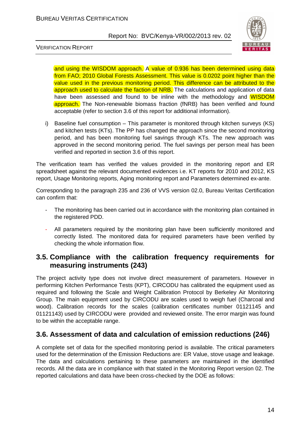

VERIFICATION REPORT

and using the WISDOM approach. A value of 0.936 has been determined using data from FAO; 2010 Global Forests Assessment. This value is 0.0202 point higher than the value used in the previous monitoring period. This difference can be attributed to the approach used to calculate the faction of NRB. The calculations and application of data have been assessed and found to be inline with the methodology and WISDOM **approach.** The Non-renewable biomass fraction (fNRB) has been verified and found acceptable (refer to section 3.6 of this report for additional information).

i) Baseline fuel consumption – This parameter is monitored through kitchen surveys (KS) and kitchen tests (KTs). The PP has changed the approach since the second monitoring period, and has been monitoring fuel savings through KTs. The new approach was approved in the second monitoring period. The fuel savings per person meal has been verified and reported in section 3.6 of this report.

The verification team has verified the values provided in the monitoring report and ER spreadsheet against the relevant documented evidences i.e. KT reports for 2010 and 2012, KS report, Usage Monitoring reports, Aging monitoring report and Parameters determined ex-ante.

Corresponding to the paragraph 235 and 236 of VVS version 02.0, Bureau Veritas Certification can confirm that:

- The monitoring has been carried out in accordance with the monitoring plan contained in the registered PDD.
- All parameters required by the monitoring plan have been sufficiently monitored and correctly listed. The monitored data for required parameters have been verified by checking the whole information flow.

### **3.5. Compliance with the calibration frequency requirements for measuring instruments (243)**

The project activity type does not involve direct measurement of parameters. However in performing Kitchen Performance Tests (KPT), CIRCODU has calibrated the equipment used as required and following the Scale and Weight Calibration Protocol by Berkeley Air Monitoring Group. The main equipment used by CIRCODU are scales used to weigh fuel (Charcoal and wood). Calibration records for the scales (calibration certificates number 01121145 and 01121143) used by CIRCODU were provided and reviewed onsite. The error margin was found to be within the acceptable range.

# **3.6. Assessment of data and calculation of emission reductions (246)**

A complete set of data for the specified monitoring period is available. The critical parameters used for the determination of the Emission Reductions are: ER Value, stove usage and leakage. The data and calculations pertaining to these parameters are maintained in the identified records. All the data are in compliance with that stated in the Monitoring Report version 02. The reported calculations and data have been cross-checked by the DOE as follows: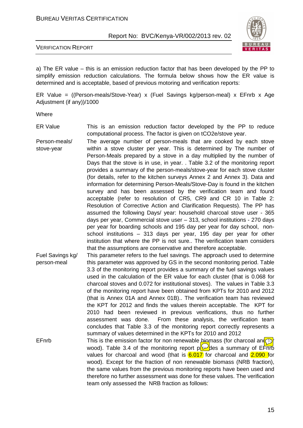

#### VERIFICATION REPORT

a) The ER value – this is an emission reduction factor that has been developed by the PP to simplify emission reduction calculations. The formula below shows how the ER value is determined and is acceptable, based of previous motoring and verification reports:

ER Value = ((Person-meals/Stove-Year) x (Fuel Savings kg/person-meal) x EFnrb x Age Adjustment (if any))/1000

Where

- ER Value This is an emission reduction factor developed by the PP to reduce computational process. The factor is given on tCO2e/stove year.
- Person-meals/ stove-year The average number of person-meals that are cooked by each stove within a stove cluster per year. This is determined by The number of Person-Meals prepared by a stove in a day multiplied by the number of Days that the stove is in use, in year. . Table 3.2 of the monitoring report provides a summary of the person-meals/stove-year for each stove cluster (for details, refer to the kitchen surveys Annex 2 and Annex 3). Data and information for determining Person-Meals/Stove-Day is found in the kitchen survey and has been assessed by the verification team and found acceptable (refer to resolution of CR5, CR9 and CR 10 in Table 2: Resolution of Corrective Action and Clarification Requests). The PP has assumed the following Days/ year: household charcoal stove user - 365 days per year, Commercial stove user – 313, school institutions - 270 days per year for boarding schools and 195 day per year for day school, nonschool institutions – 313 days per year, 195 day per year for other institution that where the PP is not sure.. The verification team considers that the assumptions are conservative and therefore acceptable.
- Fuel Savings kg/ person-meal This parameter refers to the fuel savings. The approach used to determine this parameter was approved by GS in the second monitoring period. Table 3.3 of the monitoring report provides a summary of the fuel savings values used in the calculation of the ER value for each cluster (that is 0.068 for charcoal stoves and 0.072 for institutional stoves). The values in Table 3.3 of the monitoring report have been obtained from KPTs for 2010 and 2012 (that is Annex 01A and Annex 01B).. The verification team has reviewed the KPT for 2012 and finds the values therein acceptable. The KPT for 2010 had been reviewed in previous verifications, thus no further assessment was done. From these analysis, the verification team concludes that Table 3.3 of the monitoring report correctly represents a summary of values determined in the KPTs for 2010 and 2012
- EFnrb This is the emission factor for non renewable biomass (for charcoal and  $\sigma$ wood). Table 3.4 of the monitoring report provides a summary of EFR in wood). values for charcoal and wood (that is  $6.017$  for charcoal and  $2.090$  for wood). Except for the fraction of non renewable biomass (NRB fraction), the same values from the previous monitoring reports have been used and therefore no further assessment was done for these values. The verification team only assessed the NRB fraction as follows: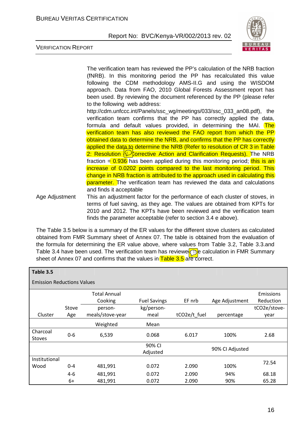

VERIFICATION REPORT

The verification team has reviewed the PP's calculation of the NRB fraction (fNRB). In this monitoring period the PP has recalculated this value following the CDM methodology AMS-II.G and using the WISDOM approach. Data from FAO, 2010 Global Forests Assessment report has been used. By reviewing the document referenced by the PP (please refer to the following web address: http://cdm.unfccc.int/Panels/ssc\_wg/meetings/033/ssc\_033\_an08.pdf), the verification team confirms that the PP has correctly applied the data, formula and default values provided, in determining the MAI. The verification team has also reviewed the FAO report from which the PP obtained data to determine the NRB, and confirms that the PP has correctly applied the data to determine the NRB (Refer to resolution of CR 3 in Table) 2: Resolution  $\bigcirc$  Corrective Action and Clarification Requests). The NRB fraction  $= 0.936$  has been applied during this monitoring period; this is an increase of 0.0202 points compared to the last monitoring period. This change in NRB fraction is attributed to the approach used in calculating this parameter. The verification team has reviewed the data and calculations and finds it acceptable Age Adjustment This an adjustment factor for the performance of each cluster of stoves, in terms of fuel saving, as they age. The values are obtained from KPTs for 2010 and 2012. The KPTs have been reviewed and the verification team

The Table 3.5 below is a summary of the ER values for the different stove clusters as calculated obtained from FMR Summary sheet of Annex 07. The table is obtained from the evaluation of the formula for determining the ER value above, where values from Table 3.2, Table 3.3.and Table 3.4 have been used. The verification team has reviewe  $\circled{b}$  calculation in FMR Summary sheet of Annex 07 and confirms that the values in Table 3.5 are correct.

finds the parameter acceptable (refer to section 3.4 e above).

| Table 3.5                         |         |                     |                     |              |                 |              |  |  |  |
|-----------------------------------|---------|---------------------|---------------------|--------------|-----------------|--------------|--|--|--|
| <b>Emission Reductions Values</b> |         |                     |                     |              |                 |              |  |  |  |
|                                   |         | <b>Total Annual</b> |                     |              |                 | Emissions    |  |  |  |
|                                   |         | Cooking             | <b>Fuel Savings</b> | EF nrb       | Age Adjustment  | Reduction    |  |  |  |
|                                   | Stove   | person-             | kg/person-          |              |                 | tCO2e/stove- |  |  |  |
| Cluster                           | Age     | meals/stove-year    | meal                | tCO2e/t_fuel | percentage      | year         |  |  |  |
|                                   |         | Weighted            | Mean                |              |                 |              |  |  |  |
| Charcoal<br><b>Stoves</b>         | $0 - 6$ | 6,539               | 0.068               | 6.017        | 100%            | 2.68         |  |  |  |
|                                   |         |                     | 90% CI              |              |                 |              |  |  |  |
|                                   |         |                     | Adjusted            |              | 90% CI Adjusted |              |  |  |  |
| Institutional                     |         |                     |                     |              |                 |              |  |  |  |
| Wood                              | $0 - 4$ | 481,991             | 0.072               | 2.090        | 100%            | 72.54        |  |  |  |
|                                   | $4-6$   | 481,991             | 0.072               | 2.090        | 94%             | 68.18        |  |  |  |
|                                   | 6+      | 481,991             | 0.072               | 2.090        | 90%             | 65.28        |  |  |  |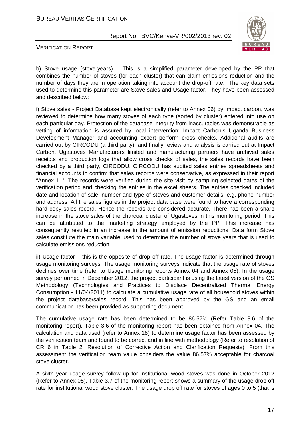#### BUREAU VERITAS CERTIFICATION

Report No: BVC/Kenya-VR/002/2013 rev. 02



VERIFICATION REPORT

b) Stove usage (stove-years) – This is a simplified parameter developed by the PP that combines the number of stoves (for each cluster) that can claim emissions reduction and the number of days they are in operation taking into account the drop-off rate. The key data sets used to determine this parameter are Stove sales and Usage factor. They have been assessed and described below:

i) Stove sales - Project Database kept electronically (refer to Annex 06) by Impact carbon, was reviewed to determine how many stoves of each type (sorted by cluster) entered into use on each particular day. Protection of the database integrity from inaccuracies was demonstrable as vetting of information is assured by local intervention; Impact Carbon's Uganda Business Development Manager and accounting expert perform cross checks. Additional audits are carried out by CIRCODU (a third party); and finally review and analysis is carried out at Impact Carbon. Ugastoves Manufacturers limited and manufacturing partners have archived sales receipts and production logs that allow cross checks of sales, the sales records have been checked by a third party, CIRCODU. CIRCODU has audited sales entries spreadsheets and financial accounts to confirm that sales records were conservative, as expressed in their report "Annex 11". The records were verified during the site visit by sampling selected dates of the verification period and checking the entries in the excel sheets. The entries checked included date and location of sale, number and type of stoves and customer details, e.g. phone number and address. All the sales figures in the project data base were found to have a corresponding hard copy sales record. Hence the records are considered accurate. There has been a sharp increase in the stove sales of the charcoal cluster of Ugastoves in this monitoring period. This can be attributed to the marketing strategy employed by the PP. This increase has consequently resulted in an increase in the amount of emission reductions. Data form Stove sales constitute the main variable used to determine the number of stove years that is used to calculate emissions reduction.

ii) Usage factor – this is the opposite of drop off rate. The usage factor is determined through usage monitoring surveys. The usage monitoring surveys indicate that the usage rate of stoves declines over time (refer to Usage monitoring reports Annex 04 and Annex 05). In the usage survey performed in December 2012, the project participant is using the latest version of the GS Methodology (Technologies and Practices to Displace Decentralized Thermal Energy Consumption - 11/04/2011) to calculate a cumulative usage rate of all household stoves within the project database/sales record. This has been approved by the GS and an email communication has been provided as supporting document.

The cumulative usage rate has been determined to be 86.57% (Refer Table 3.6 of the monitoring report). Table 3.6 of the monitoring report has been obtained from Annex 04. The calculation and data used (refer to Annex 18) to determine usage factor has been assessed by the verification team and found to be correct and in line with methodology (Refer to resolution of CR 6 in Table 2: Resolution of Corrective Action and Clarification Requests). From this assessment the verification team value considers the value 86.57% acceptable for charcoal stove cluster.

A sixth year usage survey follow up for institutional wood stoves was done in October 2012 (Refer to Annex 05). Table 3.7 of the monitoring report shows a summary of the usage drop off rate for institutional wood stove cluster. The usage drop off rate for stoves of ages 0 to 5 (that is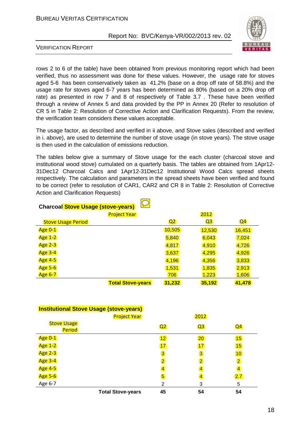

VERIFICATION REPORT

rows 2 to 6 of the table) have been obtained from previous monitoring report which had been verified, thus no assessment was done for these values. However, the usage rate for stoves aged 5-6 has been conservatively taken as 41.2% (base on a drop off rate of 58.8%) and the usage rate for stoves aged 6-7 years has been determined as 80% (based on a 20% drop off rate) as presented in row 7 and 8 of respectively of Table 3.7 . These have been verified through a review of Annex 5 and data provided by the PP in Annex 20 (Refer to resolution of CR 5 in Table 2: Resolution of Corrective Action and Clarification Requests). From the review, the verification team considers these values acceptable.

The usage factor, as described and verified in ii above, and Stove sales (described and verified in i. above), are used to determine the number of stove usage (in stove years). The stove usage is then used in the calculation of emissions reduction.

The tables below give a summary of Stove usage for the each cluster (charcoal stove and institutional wood stove) cumulated on a quarterly basis. The tables are obtained from 1Apr12- 31Dec12 Charcoal Calcs and 1Apr12-31Dec12 Institutional Wood Calcs spread sheets respectively. The calculation and parameters in the spread sheets have been verified and found to be correct (refer to resolution of CAR1, CAR2 and CR 8 in Table 2: Resolution of Corrective Action and Clarification Requests)

| <b>Charcoal Stove Usage (stove-years)</b> |                          |                |                |                |  |  |  |  |
|-------------------------------------------|--------------------------|----------------|----------------|----------------|--|--|--|--|
|                                           | <b>Project Year</b>      |                | 2012           |                |  |  |  |  |
| <b>Stove Usage Period</b>                 |                          | Q <sub>2</sub> | Q <sub>3</sub> | Q <sub>4</sub> |  |  |  |  |
| <b>Age 0-1</b>                            |                          | 10,505         | 12,530         | 16,451         |  |  |  |  |
| <b>Age 1-2</b>                            |                          | 5,840          | 6,043          | 7,024          |  |  |  |  |
| <b>Age 2-3</b>                            |                          | 4,817          | 4,910          | 4,726          |  |  |  |  |
| <b>Age 3-4</b>                            |                          | 3,637          | 4,295          | 4,926          |  |  |  |  |
| <b>Age 4-5</b>                            |                          | 4,196          | 4,356          | 3,833          |  |  |  |  |
| <b>Age 5-6</b>                            |                          | 1,531          | 1,835          | 2,913          |  |  |  |  |
| <b>Age 6-7</b>                            |                          | 706            | 1,223          | 1,606          |  |  |  |  |
|                                           | <b>Total Stove-years</b> | 31,232         | 35,192         | 41,478         |  |  |  |  |

#### **Institutional Stove Usage (stove-years)**

|                              | <b>Project Year</b>      |                |                |                         |
|------------------------------|--------------------------|----------------|----------------|-------------------------|
| <b>Stove Usage</b><br>Period |                          | Q2             | Q3             | Q <sub>4</sub>          |
| <b>Age 0-1</b>               |                          | 12             | 20             | 15                      |
| <b>Age 1-2</b>               |                          | 17             | 17             | 15                      |
| <b>Age 2-3</b>               |                          | $\overline{3}$ | $\overline{3}$ | 10                      |
| <b>Age 3-4</b>               |                          | $\overline{2}$ | $\overline{2}$ | $\overline{\mathbf{2}}$ |
| <b>Age 4-5</b>               |                          | $\overline{4}$ | 4              | $\overline{\mathbf{4}}$ |
| <b>Age 5-6</b>               |                          | $\overline{5}$ | 4              | 2.7                     |
| Age 6-7                      |                          | 2              | 3              | 5                       |
|                              | <b>Total Stove-years</b> | 45             | 54             | 54                      |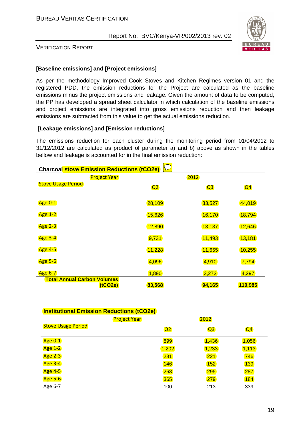

VERIFICATION REPORT

#### **[Baseline emissions] and [Project emissions]**

As per the methodology Improved Cook Stoves and Kitchen Regimes version 01 and the registered PDD, the emission reductions for the Project are calculated as the baseline emissions minus the project emissions and leakage. Given the amount of data to be computed, the PP has developed a spread sheet calculator in which calculation of the baseline emissions and project emissions are integrated into gross emissions reduction and then leakage emissions are subtracted from this value to get the actual emissions reduction.

#### **[Leakage emissions] and [Emission reductions]**

The emissions reduction for each cluster during the monitoring period from 01/04/2012 to 31/12/2012 are calculated as product of parameter a) and b) above as shown in the tables bellow and leakage is accounted for in the final emission reduction:

| <b>Charcoal stove Emission Reductions (tCO2e)</b> |                     |                |        |                |  |  |  |
|---------------------------------------------------|---------------------|----------------|--------|----------------|--|--|--|
|                                                   | <b>Project Year</b> |                | 2012   |                |  |  |  |
| <b>Stove Usage Period</b>                         |                     | Q <sub>2</sub> | Q3     | Q <sub>4</sub> |  |  |  |
| <b>Age 0-1</b>                                    |                     | 28,109         | 33,527 | 44,019         |  |  |  |
| <b>Age 1-2</b>                                    |                     | 15,626         | 16,170 | 18,794         |  |  |  |
| <b>Age 2-3</b>                                    |                     | 12,890         | 13,137 | 12,646         |  |  |  |
| <b>Age 3-4</b>                                    |                     | 9,731          | 11,493 | 13,181         |  |  |  |
| <b>Age 4-5</b>                                    |                     | 11,228         | 11,655 | 10,255         |  |  |  |
| <b>Age 5-6</b>                                    |                     | 4,096          | 4,910  | 7,794          |  |  |  |
| <b>Age 6-7</b>                                    |                     | 1,890          | 3,273  | 4,297          |  |  |  |
|                                                   |                     |                |        |                |  |  |  |
| <b>Total Annual Carbon Volumes</b>                | (tCO2e)             | 83,568         | 94,165 | 110,985        |  |  |  |

| <b>Institutional Emission Reductions (tCO2e)</b> |                     |                |                |                |  |  |  |
|--------------------------------------------------|---------------------|----------------|----------------|----------------|--|--|--|
|                                                  | <b>Project Year</b> |                | 2012           |                |  |  |  |
| <b>Stove Usage Period</b>                        |                     | Q <sub>2</sub> | Q <sub>3</sub> | Q <sub>4</sub> |  |  |  |
| <b>Age 0-1</b>                                   |                     | 899            | 1,436          | 1,056          |  |  |  |
| <b>Age 1-2</b>                                   |                     | 1,202          | 1,233          | 1,113          |  |  |  |
| <b>Age 2-3</b>                                   |                     | 231            | 221            | 746            |  |  |  |
| <b>Age 3-4</b>                                   |                     | 146            | 152            | <b>139</b>     |  |  |  |
| <b>Age 4-5</b>                                   |                     | 263            | 295            | 287            |  |  |  |
| <b>Age 5-6</b>                                   |                     | 365            | 279            | 184            |  |  |  |
| Age 6-7                                          |                     | 100            | 213            | 339            |  |  |  |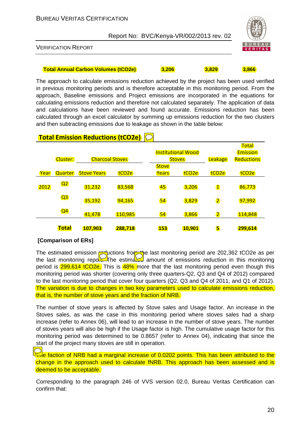

VERIFICATION REPORT

#### **Total Annual Carbon Volumes (tCO2e) 3,206 3,829 3,866**

The approach to calculate emissions reduction achieved by the project has been used verified in previous monitoring periods and is therefore acceptable in this monitoring period. From the approach, Baseline emissions and Project emissions are incorporated in the equations for calculating emissions reduction and therefore not calculated separately. The application of data and calculations have been reviewed and found accurate. Emissions reduction has been calculated through an excel calculator by summing up emissions reduction for the two clusters and then subtracting emissions due to leakage as shown in the table below:

|      |                 |                        |                   |              |                           |                         | <b>Total</b>      |
|------|-----------------|------------------------|-------------------|--------------|---------------------------|-------------------------|-------------------|
|      |                 |                        |                   |              | <b>Institutional Wood</b> |                         | <b>Emission</b>   |
|      | <b>Cluster:</b> | <b>Charcoal Stoves</b> |                   |              | <b>Stoves</b>             |                         | <b>Reductions</b> |
|      |                 |                        |                   | <b>Stove</b> |                           |                         |                   |
| Year | <b>Quarter</b>  | <b>Stove Years</b>     | tCO <sub>2e</sub> | Years        | tCO <sub>2e</sub>         | tCO <sub>2e</sub>       | tCO <sub>2e</sub> |
|      |                 |                        |                   |              |                           |                         |                   |
| 2012 | Q <sub>2</sub>  | 31,232                 | 83,568            | 45           | 3,206                     | $\overline{\mathbf{1}}$ | 86,773            |
|      | Q <sub>3</sub>  |                        |                   |              |                           |                         |                   |
|      |                 | 35,192                 | 94,165            | 54           | 3,829                     | $\overline{2}$          | 97,992            |
|      | Q <sub>4</sub>  |                        |                   |              |                           |                         |                   |
|      |                 | 41,478                 | 110,985           | 54           | 3,866                     | $\overline{2}$          | 114,848           |
|      |                 |                        |                   |              |                           |                         |                   |
|      | <b>Total</b>    | 107,903                | 288,718           | <b>153</b>   | 10,901                    | 5                       | 299,614           |

### **Total Emission Reductions (tCO2e)**

#### **[Comparison of ERs]**

The estimated emission reductions from the last monitoring period are 202,362 tCO2e as per the last monitoring report. The estimately amount of emissions reduction in this monitoring period is 299,614 tCO2e. This is 48% more that the last monitoring period even though this monitoring period was shorter (covering only three quarters-Q2, Q3 and Q4 of 2012) compared to the last monitoring period that cover four quarters (Q2, Q3 and Q4 of 2011, and Q1 of 2012). The variation is due to changes in two key parameters used to calculate emissions reduction, that is, the number of stove years and the fraction of NRB.

The number of stove years is affected by Stove sales and Usage factor. An increase in the Stoves sales, as was the case in this monitoring period where stoves sales had a sharp increase (refer to Annex 06), will lead to an increase in the number of stove years. The number of stoves years will also be high if the Usage factor is high. The cumulative usage factor for this monitoring period was determined to be 0.8657 (refer to Annex 04), indicating that since the start of the project many stoves are still in operation.

 $\overline{A}$ e faction of NRB had a marginal increase of 0.0202 points. This has been attributed to the change in the approach used to calculate fNRB. This approach has been assessed and is deemed to be acceptable.

Corresponding to the paragraph 246 of VVS version 02.0, Bureau Veritas Certification can confirm that: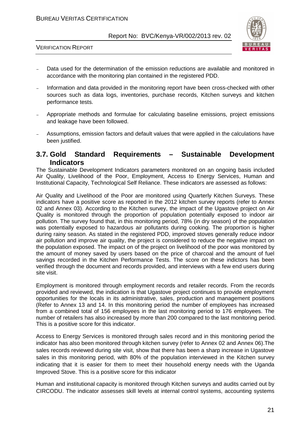

VERIFICATION REPORT

- Data used for the determination of the emission reductions are available and monitored in accordance with the monitoring plan contained in the registered PDD.
- Information and data provided in the monitoring report have been cross-checked with other sources such as data logs, inventories, purchase records, Kitchen surveys and kitchen performance tests.
- <sup>−</sup> Appropriate methods and formulae for calculating baseline emissions, project emissions and leakage have been followed.
- <sup>−</sup> Assumptions, emission factors and default values that were applied in the calculations have been justified.

#### **3.7. Gold Standard Requirements – Sustainable Development Indicators**

The Sustainable Development Indicators parameters monitored on an ongoing basis included Air Quality, Livelihood of the Poor, Employment, Access to Energy Services, Human and Institutional Capacity, Technological Self Reliance. These indicators are assessed as follows:

Air Quality and Livelihood of the Poor are monitored using Quarterly Kitchen Surveys. These indicators have a positive score as reported in the 2012 kitchen survey reports (refer to Annex 02 and Annex 03). According to the Kitchen survey, the impact of the Ugastove project on Air Quality is monitored through the proportion of population potentially exposed to indoor air pollution. The survey found that, in this monitoring period, 78% (in dry season) of the population was potentially exposed to hazardous air pollutants during cooking. The proportion is higher during rainy season. As stated in the registered PDD, improved stoves generally reduce indoor air pollution and improve air quality, the project is considered to reduce the negative impact on the population exposed. The impact on of the project on livelihood of the poor was monitored by the amount of money saved by users based on the price of charcoal and the amount of fuel savings recorded in the Kitchen Performance Tests. The score on these indictors has been verified through the document and records provided, and interviews with a few end users during site visit.

Employment is monitored through employment records and retailer records. From the records provided and reviewed, the indication is that Ugastove project continues to provide employment opportunities for the locals in its administrative, sales, production and management positions (Refer to Annex 13 and 14. In this monitoring period the number of employees has increased from a combined total of 156 employees in the last monitoring period to 176 employees. The number of retailers has also increased by more than 200 compared to the last monitoring period. This is a positive score for this indicator.

Access to Energy Services is monitored through sales record and in this monitoring period the indicator has also been monitored through kitchen survey (refer to Annex 02 and Annex 06).The sales records reviewed during site visit, show that there has been a sharp increase in Ugastove sales in this monitoring period, with 80% of the population interviewed in the Kitchen survey indicating that it is easier for them to meet their household energy needs with the Uganda Improved Stove. This is a positive score for this indicator

Human and institutional capacity is monitored through Kitchen surveys and audits carried out by CIRCODU. The indicator assesses skill levels at internal control systems, accounting systems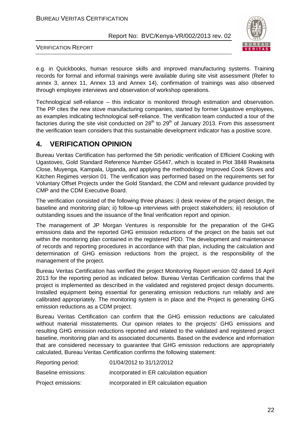#### BUREAU VERITAS CERTIFICATION

Report No: BVC/Kenya-VR/002/2013 rev. 02



VERIFICATION REPORT

e.g. in Quickbooks, human resource skills and improved manufacturing systems. Training records for formal and informal trainings were available during site visit assessment (Refer to annex 3, annex 11, Annex 13 and Annex 14), confirmation of trainings was also observed through employee interviews and observation of workshop operations.

Technological self-reliance – this indicator is monitored through estimation and observation. The PP cites the new stove manufacturing companies, started by former Ugastove employees, as examples indicating technological self-reliance. The verification team conducted a tour of the factories during the site visit conducted on  $28<sup>th</sup>$  to  $29<sup>th</sup>$  of January 2013. From this assessment the verification team considers that this sustainable development indicator has a positive score.

### **4. VERIFICATION OPINION**

Bureau Veritas Certification has performed the 5th periodic verification of Efficient Cooking with Ugastoves, Gold Standard Reference Number GS447, which is located in Plot 3848 Rwakiseta Close, Muyenga, Kampala, Uganda, and applying the methodology Improved Cook Stoves and Kitchen Regimes version 01. The verification was performed based on the requirements set for Voluntary Offset Projects under the Gold Standard, the CDM and relevant guidance provided by CMP and the CDM Executive Board.

The verification consisted of the following three phases: i) desk review of the project design, the baseline and monitoring plan; ii) follow-up interviews with project stakeholders; iii) resolution of outstanding issues and the issuance of the final verification report and opinion.

The management of JP Morgan Ventures is responsible for the preparation of the GHG emissions data and the reported GHG emission reductions of the project on the basis set out within the monitoring plan contained in the registered PDD. The development and maintenance of records and reporting procedures in accordance with that plan, including the calculation and determination of GHG emission reductions from the project, is the responsibility of the management of the project.

Bureau Veritas Certification has verified the project Monitoring Report version 02 dated 16 April 2013 for the reporting period as indicated below. Bureau Veritas Certification confirms that the project is implemented as described in the validated and registered project design documents. Installed equipment being essential for generating emission reductions run reliably and are calibrated appropriately. The monitoring system is in place and the Project is generating GHG emission reductions as a CDM project.

Bureau Veritas Certification can confirm that the GHG emission reductions are calculated without material misstatements. Our opinion relates to the projects' GHG emissions and resulting GHG emission reductions reported and related to the validated and registered project baseline, monitoring plan and its associated documents. Based on the evidence and information that are considered necessary to guarantee that GHG emission reductions are appropriately calculated, Bureau Veritas Certification confirms the following statement:

| Reporting period:   | 01/04/2012 to 31/12/2012                |
|---------------------|-----------------------------------------|
| Baseline emissions: | incorporated in ER calculation equation |
| Project emissions:  | incorporated in ER calculation equation |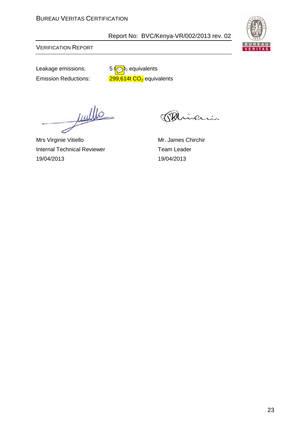

VERIFICATION REPORT

Leakage emissions:  $5\sqrt{9}$ <sub>2</sub> equivalents Emission Reductions:  $299,614t$  CO<sub>2</sub> equivalents

Juille ے

Mrs Virginie Vitiello Mr. James Chirchir Internal Technical Reviewer Team Leader 19/04/2013 19/04/2013

erri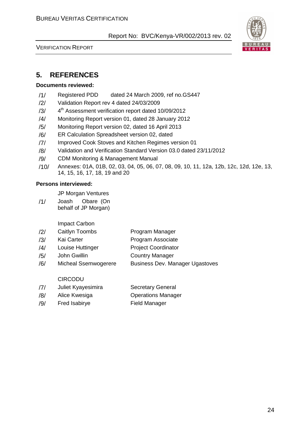

VERIFICATION REPORT

# **5. REFERENCES**

#### **Documents reviewed:**

- /1/ Registered PDD dated 24 March 2009, ref no.GS447
- /2/ Validation Report rev 4 dated 24/03/2009
- $/3/$ 4<sup>th</sup> Assessment verification report dated 10/09/2012
- /4/ Monitoring Report version 01, dated 28 January 2012
- /5/ Monitoring Report version 02, dated 16 April 2013
- /6/ ER Calculation Spreadsheet version 02, dated
- /7/ Improved Cook Stoves and Kitchen Regimes version 01
- /8/ Validation and Verification Standard Version 03.0 dated 23/11/2012
- /9/ CDM Monitoring & Management Manual
- /10/ Annexes: 01A, 01B, 02, 03, 04, 05, 06, 07, 08, 09, 10, 11, 12a, 12b, 12c, 12d, 12e, 13, 14, 15, 16, 17, 18, 19 and 20

#### **Persons interviewed:**

JP Morgan Ventures

/1/ Joash Obare (On behalf of JP Morgan)

Impact Carbon

- /2/ Caitlyn Toombs Program Manager
- /3/ Kai Carter Program Associate
- /4/ Louise Huttinger Project Coordinator
- /5/ John Gwillin Country Manager
- /6/ Micheal Ssemwogerere Business Dev. Manager Ugastoves

#### CIRCODU

| /7/ | Juliet Kyayesimira | <b>Secretary General</b> |
|-----|--------------------|--------------------------|
|-----|--------------------|--------------------------|

- /8/ Alice Kwesiga Operations Manager
- /9/ Fred Isabirye Field Manager
-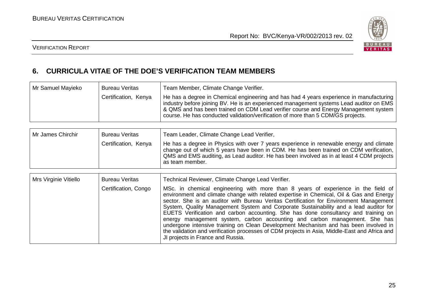

#### VERIFICATION REPORT



# **6. CURRICULA VITAE OF THE DOE'S VERIFICATION TEAM MEMBERS**

| Mr Samuel Mayieko | <b>Bureau Veritas</b><br>Certification, Kenya | Team Member, Climate Change Verifier.<br>He has a degree in Chemical engineering and has had 4 years experience in manufacturing<br>industry before joining BV. He is an experienced management systems Lead auditor on EMS<br>& QMS and has been trained on CDM Lead verifier course and Energy Management system<br>course. He has conducted validation/verification of more than 5 CDM/GS projects. |
|-------------------|-----------------------------------------------|--------------------------------------------------------------------------------------------------------------------------------------------------------------------------------------------------------------------------------------------------------------------------------------------------------------------------------------------------------------------------------------------------------|
|                   |                                               |                                                                                                                                                                                                                                                                                                                                                                                                        |
| Mr James Chirchir | <b>Bureau Veritas</b>                         | Team Leader, Climate Change Lead Verifier,                                                                                                                                                                                                                                                                                                                                                             |
|                   | Certification, Kenya                          | He has a degree in Physics with over 7 years experience in renewable energy and climate                                                                                                                                                                                                                                                                                                                |

|                       |                       | change out of which 5 years have been in CDM. He has been trained on CDM verification,<br>QMS and EMS auditing, as Lead auditor. He has been involved as in at least 4 CDM projects<br>as team member. |
|-----------------------|-----------------------|--------------------------------------------------------------------------------------------------------------------------------------------------------------------------------------------------------|
|                       |                       |                                                                                                                                                                                                        |
| Mrs Virginie Vitiello | <b>Bureau Veritas</b> | Technical Reviewer, Climate Change Lead Verifier.                                                                                                                                                      |

| Certification, Congo | MSc. in chemical engineering with more than 8 years of experience in the field of<br>environment and climate change with related expertise in Chemical, Oil & Gas and Energy<br>sector. She is an auditor with Bureau Veritas Certification for Environment Management<br>System, Quality Management System and Corporate Sustainability and a lead auditor for<br>EUETS Verification and carbon accounting. She has done consultancy and training on<br>energy management system, carbon accounting and carbon management. She has<br>undergone intensive training on Clean Development Mechanism and has been involved in<br>the validation and verification processes of CDM projects in Asia, Middle-East and Africa and<br>JI projects in France and Russia. |
|----------------------|-------------------------------------------------------------------------------------------------------------------------------------------------------------------------------------------------------------------------------------------------------------------------------------------------------------------------------------------------------------------------------------------------------------------------------------------------------------------------------------------------------------------------------------------------------------------------------------------------------------------------------------------------------------------------------------------------------------------------------------------------------------------|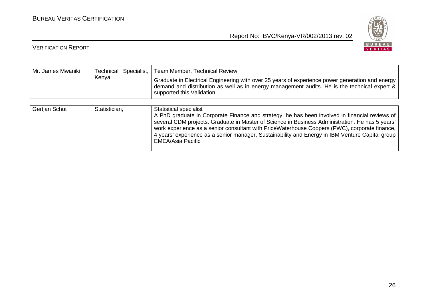

| Mr. James Mwaniki | Technical Specialist, | Team Member, Technical Review.                                                                                                                                                                                                                                                                                                                                                                                                                                     |  |  |  |  |  |
|-------------------|-----------------------|--------------------------------------------------------------------------------------------------------------------------------------------------------------------------------------------------------------------------------------------------------------------------------------------------------------------------------------------------------------------------------------------------------------------------------------------------------------------|--|--|--|--|--|
|                   | Kenya                 | Graduate in Electrical Engineering with over 25 years of experience power generation and energy<br>demand and distribution as well as in energy management audits. He is the technical expert &<br>supported this Validation                                                                                                                                                                                                                                       |  |  |  |  |  |
|                   |                       |                                                                                                                                                                                                                                                                                                                                                                                                                                                                    |  |  |  |  |  |
| Gertjan Schut     | Statistician,         | <b>Statistical specialist</b><br>A PhD graduate in Corporate Finance and strategy, he has been involved in financial reviews of<br>several CDM projects. Graduate in Master of Science in Business Administration. He has 5 years'<br>work experience as a senior consultant with PriceWaterhouse Coopers (PWC), corporate finance,<br>4 years' experience as a senior manager, Sustainability and Energy in IBM Venture Capital group<br><b>EMEA/Asia Pacific</b> |  |  |  |  |  |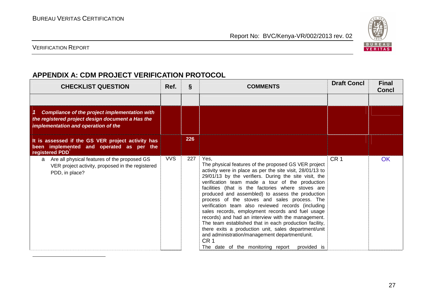

VERIFICATION REPORT

# **APPENDIX A: CDM PROJECT VERIFICATION PROTOCOL**

| <b>CHECKLIST QUESTION</b>                                                                                                                            | Ref.       | Ş   | <b>COMMENTS</b>                                                                                                                                                                                                                                                                                                                                                                                                                                                                                                                                                                                                                                                                                                                                                                                            | <b>Draft Concl</b> | <b>Final</b><br><b>Concl</b> |
|------------------------------------------------------------------------------------------------------------------------------------------------------|------------|-----|------------------------------------------------------------------------------------------------------------------------------------------------------------------------------------------------------------------------------------------------------------------------------------------------------------------------------------------------------------------------------------------------------------------------------------------------------------------------------------------------------------------------------------------------------------------------------------------------------------------------------------------------------------------------------------------------------------------------------------------------------------------------------------------------------------|--------------------|------------------------------|
|                                                                                                                                                      |            |     |                                                                                                                                                                                                                                                                                                                                                                                                                                                                                                                                                                                                                                                                                                                                                                                                            |                    |                              |
| <b>Compliance of the project implementation with</b><br>1<br>the registered project design document a Has the<br>implementation and operation of the |            |     |                                                                                                                                                                                                                                                                                                                                                                                                                                                                                                                                                                                                                                                                                                                                                                                                            |                    |                              |
| It is assessed if the GS VER project activity has<br>been implemented and operated as per the<br>registered PDD                                      |            | 226 |                                                                                                                                                                                                                                                                                                                                                                                                                                                                                                                                                                                                                                                                                                                                                                                                            |                    |                              |
| Are all physical features of the proposed GS<br>a<br>VER project activity, proposed in the registered<br>PDD, in place?                              | <b>VVS</b> | 227 | Yes.<br>The physical features of the proposed GS VER project<br>activity were in place as per the site visit, 28/01/13 to<br>29/01/13 by the verifiers. During the site visit, the<br>verification team made a tour of the production<br>facilities (that is the factories where stoves are<br>produced and assembled) to assess the production<br>process of the stoves and sales process. The<br>verification team also reviewed records (including<br>sales records, employment records and fuel usage<br>records) and had an interview with the management.<br>The team established that in each production facility,<br>there exits a production unit, sales department/unit<br>and administration/management department/unit.<br>CR <sub>1</sub><br>The date of the monitoring report<br>provided is | CR <sub>1</sub>    | <b>OK</b>                    |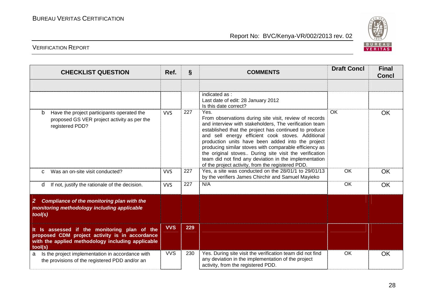

| <b>CHECKLIST QUESTION</b>                                                                                                                                      | Ref.       | Ş   | <b>COMMENTS</b>                                                                                                                                                                                                                                                                                                                                                                                                                                                                                                               | <b>Draft Concl</b> | <b>Final</b><br><b>Concl</b> |
|----------------------------------------------------------------------------------------------------------------------------------------------------------------|------------|-----|-------------------------------------------------------------------------------------------------------------------------------------------------------------------------------------------------------------------------------------------------------------------------------------------------------------------------------------------------------------------------------------------------------------------------------------------------------------------------------------------------------------------------------|--------------------|------------------------------|
|                                                                                                                                                                |            |     |                                                                                                                                                                                                                                                                                                                                                                                                                                                                                                                               |                    |                              |
|                                                                                                                                                                |            |     | indicated as:<br>Last date of edit: 28 January 2012<br>Is this date correct?                                                                                                                                                                                                                                                                                                                                                                                                                                                  |                    |                              |
| Have the project participants operated the<br>b<br>proposed GS VER project activity as per the<br>registered PDD?                                              | <b>VVS</b> | 227 | Yes.<br>From observations during site visit, review of records<br>and interview with stakeholders, The verification team<br>established that the project has continued to produce<br>and sell energy efficient cook stoves. Additional<br>production units have been added into the project<br>producing similar stoves with comparable efficiency as<br>the original stoves During site visit the verification<br>team did not find any deviation in the implementation<br>of the project activity, from the registered PDD. | OK                 | <b>OK</b>                    |
| Was an on-site visit conducted?<br>C                                                                                                                           | <b>VVS</b> | 227 | Yes, a site was conducted on the 28/01/1 to 29/01/13<br>by the verifiers James Chirchir and Samuel Mayieko                                                                                                                                                                                                                                                                                                                                                                                                                    | OK                 | <b>OK</b>                    |
| If not, justify the rationale of the decision.<br>d                                                                                                            | <b>VVS</b> | 227 | N/A                                                                                                                                                                                                                                                                                                                                                                                                                                                                                                                           | <b>OK</b>          | <b>OK</b>                    |
| <b>Compliance of the monitoring plan with the</b><br>$\mathbf{2}$<br>monitoring methodology including applicable<br>tool(s)                                    |            |     |                                                                                                                                                                                                                                                                                                                                                                                                                                                                                                                               |                    |                              |
| It Is assessed if the monitoring plan of the<br>proposed CDM project activity is in accordance<br>with the applied methodology including applicable<br>tool(s) | <b>VVS</b> | 229 |                                                                                                                                                                                                                                                                                                                                                                                                                                                                                                                               |                    |                              |
| Is the project implementation in accordance with<br>a<br>the provisions of the registered PDD and/or an                                                        | <b>VVS</b> | 230 | Yes. During site visit the verification team did not find<br>any deviation in the implementation of the project<br>activity, from the registered PDD.                                                                                                                                                                                                                                                                                                                                                                         | OK.                | <b>OK</b>                    |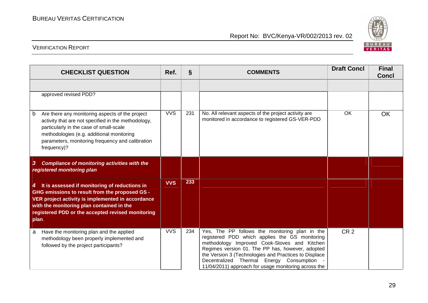

|   | <b>CHECKLIST QUESTION</b>                                                                                                                                                                                                                                         | Ref.       | $\S$ | <b>COMMENTS</b>                                                                                                                                                                                                                                                                                                                                                   | <b>Draft Concl</b> | <b>Final</b><br><b>Concl</b> |
|---|-------------------------------------------------------------------------------------------------------------------------------------------------------------------------------------------------------------------------------------------------------------------|------------|------|-------------------------------------------------------------------------------------------------------------------------------------------------------------------------------------------------------------------------------------------------------------------------------------------------------------------------------------------------------------------|--------------------|------------------------------|
|   |                                                                                                                                                                                                                                                                   |            |      |                                                                                                                                                                                                                                                                                                                                                                   |                    |                              |
|   | approved revised PDD?                                                                                                                                                                                                                                             |            |      |                                                                                                                                                                                                                                                                                                                                                                   |                    |                              |
| b | Are there any monitoring aspects of the project<br>activity that are not specified in the methodology,<br>particularly in the case of small-scale<br>methodologies (e.g. additional monitoring<br>parameters, monitoring frequency and calibration<br>frequency)? | <b>VVS</b> | 231  | No. All relevant aspects of the project activity are<br>monitored in accordance to registered GS-VER-PDD                                                                                                                                                                                                                                                          | <b>OK</b>          | <b>OK</b>                    |
| 3 | <b>Compliance of monitoring activities with the</b><br>registered monitoring plan                                                                                                                                                                                 |            |      |                                                                                                                                                                                                                                                                                                                                                                   |                    |                              |
| 4 | It is assessed if monitoring of reductions in<br>GHG emissions to result from the proposed GS -<br>VER project activity is implemented in accordance<br>with the monitoring plan contained in the<br>registered PDD or the accepted revised monitoring<br>plan.   | <b>VVS</b> | 233  |                                                                                                                                                                                                                                                                                                                                                                   |                    |                              |
| a | Have the monitoring plan and the applied<br>methodology been properly implemented and<br>followed by the project participants?                                                                                                                                    | <b>VVS</b> | 234  | Yes, The PP follows the monitoring plan in the<br>registered PDD which applies the GS monitoring<br>methodology Improved Cook-Stoves and Kitchen<br>Regimes version 01. The PP has, however, adopted<br>the Version 3 (Technologies and Practices to Displace<br>Decentralized Thermal Energy Consumption<br>11/04/2011) approach for usage monitoring across the | CR <sub>2</sub>    |                              |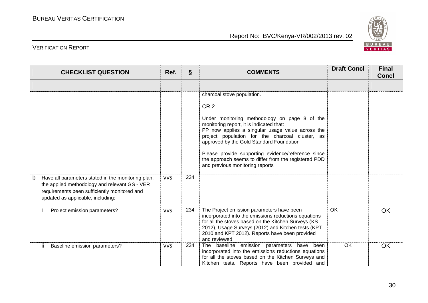

| <b>CHECKLIST QUESTION</b>                                                                                                          | Ref.       | $\S$ | <b>COMMENTS</b>                                                                                                                                                                                                                                                                               | <b>Draft Concl</b> | <b>Final</b><br><b>Concl</b> |
|------------------------------------------------------------------------------------------------------------------------------------|------------|------|-----------------------------------------------------------------------------------------------------------------------------------------------------------------------------------------------------------------------------------------------------------------------------------------------|--------------------|------------------------------|
|                                                                                                                                    |            |      |                                                                                                                                                                                                                                                                                               |                    |                              |
|                                                                                                                                    |            |      | charcoal stove population.<br>CR <sub>2</sub><br>Under monitoring methodology on page 8 of the<br>monitoring report, it is indicated that:<br>PP now applies a singular usage value across the<br>project population for the charcoal cluster, as<br>approved by the Gold Standard Foundation |                    |                              |
| Have all parameters stated in the monitoring plan,<br>b                                                                            | <b>VVS</b> | 234  | Please provide supporting evidence/reference since<br>the approach seems to differ from the registered PDD<br>and previous monitoring reports                                                                                                                                                 |                    |                              |
| the applied methodology and relevant GS - VER<br>requirements been sufficiently monitored and<br>updated as applicable, including: |            |      |                                                                                                                                                                                                                                                                                               |                    |                              |
| Project emission parameters?                                                                                                       | <b>VVS</b> | 234  | The Project emission parameters have been<br>incorporated into the emissions reductions equations<br>for all the stoves based on the Kitchen Surveys (KS<br>2012), Usage Surveys (2012) and Kitchen tests (KPT<br>2010 and KPT 2012). Reports have been provided<br>and reviewed              | <b>OK</b>          | <b>OK</b>                    |
| Baseline emission parameters?<br>ΪĹ.                                                                                               | <b>VVS</b> | 234  | The baseline emission parameters have been<br>incorporated into the emissions reductions equations<br>for all the stoves based on the Kitchen Surveys and<br>Kitchen tests. Reports have been provided and                                                                                    | <b>OK</b>          | <b>OK</b>                    |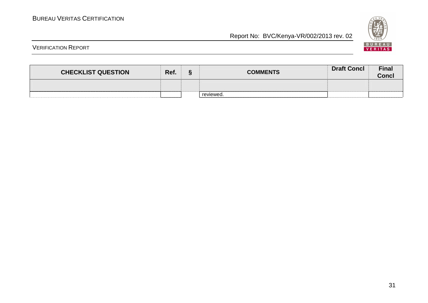

| <b>CHECKLIST QUESTION</b> | Ref. | c | <b>COMMENTS</b> | <b>Draft Concl</b> | <b>Final</b><br><b>Conci</b> |
|---------------------------|------|---|-----------------|--------------------|------------------------------|
|                           |      |   |                 |                    |                              |
|                           |      |   | reviewed.       |                    |                              |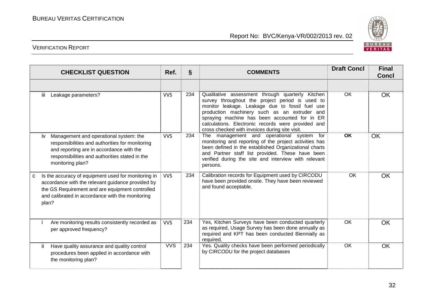

| <b>CHECKLIST QUESTION</b>                                                                                                                                                                                                     | Ref.       | $\S$ | <b>COMMENTS</b>                                                                                                                                                                                                                                                                                                                                                 | <b>Draft Concl</b> | <b>Final</b><br><b>Concl</b> |
|-------------------------------------------------------------------------------------------------------------------------------------------------------------------------------------------------------------------------------|------------|------|-----------------------------------------------------------------------------------------------------------------------------------------------------------------------------------------------------------------------------------------------------------------------------------------------------------------------------------------------------------------|--------------------|------------------------------|
| Leakage parameters?<br>Ш.                                                                                                                                                                                                     | <b>VVS</b> | 234  | Qualitative assessment through quarterly Kitchen<br>survey throughout the project period is used to<br>monitor leakage. Leakage due to fossil fuel use<br>production machinery such as an extruder and<br>spraying machine has been accounted for in ER<br>calculations. Electronic records were provided and<br>cross checked with invoices during site visit. | OK                 | <b>OK</b>                    |
| Management and operational system: the<br>iv<br>responsibilities and authorities for monitoring<br>and reporting are in accordance with the<br>responsibilities and authorities stated in the<br>monitoring plan?             | <b>VVS</b> | 234  | The management and operational system for<br>monitoring and reporting of the project activities has<br>been defined in the established Organizational charts<br>and Partner staff list provided. These have been<br>verified during the site and interview with relevant<br>persons.                                                                            | <b>OK</b>          | <b>OK</b>                    |
| Is the accuracy of equipment used for monitoring in<br>c<br>accordance with the relevant guidance provided by<br>the GS Requirement and are equipment controlled<br>and calibrated in accordance with the monitoring<br>plan? | <b>VVS</b> | 234  | Calibration records for Equipment used by CIRCODU<br>have been provided onsite. They have been reviewed<br>and found acceptable.                                                                                                                                                                                                                                | OK                 | <b>OK</b>                    |
| Are monitoring results consistently recorded as<br>per approved frequency?                                                                                                                                                    | <b>VVS</b> | 234  | Yes, Kitchen Surveys have been conducted quarterly<br>as required, Usage Survey has been done annually as<br>required and KPT has been conducted Biennially as<br>required.                                                                                                                                                                                     | <b>OK</b>          | <b>OK</b>                    |
| ii.<br>Have quality assurance and quality control<br>procedures been applied in accordance with<br>the monitoring plan?                                                                                                       | <b>VVS</b> | 234  | Yes. Quality checks have been performed periodically<br>by CIRCODU for the project databases                                                                                                                                                                                                                                                                    | OK                 | <b>OK</b>                    |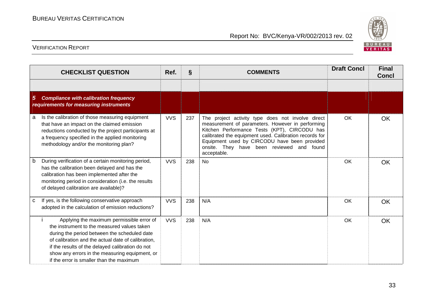

|   | <b>CHECKLIST QUESTION</b>                                                                                                                                                                                                                                                                                                                        | $\S$<br>Ref.<br><b>COMMENTS</b> |     | <b>Draft Concl</b>                                                                                                                                                                                                                                                                                                          | <b>Final</b><br><b>Concl</b> |           |
|---|--------------------------------------------------------------------------------------------------------------------------------------------------------------------------------------------------------------------------------------------------------------------------------------------------------------------------------------------------|---------------------------------|-----|-----------------------------------------------------------------------------------------------------------------------------------------------------------------------------------------------------------------------------------------------------------------------------------------------------------------------------|------------------------------|-----------|
|   |                                                                                                                                                                                                                                                                                                                                                  |                                 |     |                                                                                                                                                                                                                                                                                                                             |                              |           |
| 5 | <b>Compliance with calibration frequency</b><br>requirements for measuring instruments                                                                                                                                                                                                                                                           |                                 |     |                                                                                                                                                                                                                                                                                                                             |                              |           |
| a | Is the calibration of those measuring equipment<br>that have an impact on the claimed emission<br>reductions conducted by the project participants at<br>a frequency specified in the applied monitoring<br>methodology and/or the monitoring plan?                                                                                              | <b>VVS</b>                      | 237 | The project activity type does not involve direct<br>measurement of parameters. However in performing<br>Kitchen Performance Tests (KPT), CIRCODU has<br>calibrated the equipment used. Calibration records for<br>Equipment used by CIRCODU have been provided<br>onsite. They have been reviewed and found<br>acceptable. | OK                           | OK        |
| b | During verification of a certain monitoring period,<br>has the calibration been delayed and has the<br>calibration has been implemented after the<br>monitoring period in consideration (i.e. the results<br>of delayed calibration are available)?                                                                                              | <b>VVS</b>                      | 238 | <b>No</b>                                                                                                                                                                                                                                                                                                                   | OK                           | <b>OK</b> |
| C | If yes, is the following conservative approach<br>adopted in the calculation of emission reductions?                                                                                                                                                                                                                                             | <b>VVS</b>                      | 238 | N/A                                                                                                                                                                                                                                                                                                                         | <b>OK</b>                    | <b>OK</b> |
|   | Applying the maximum permissible error of<br>the instrument to the measured values taken<br>during the period between the scheduled date<br>of calibration and the actual date of calibration,<br>if the results of the delayed calibration do not<br>show any errors in the measuring equipment, or<br>if the error is smaller than the maximum | <b>VVS</b>                      | 238 | N/A                                                                                                                                                                                                                                                                                                                         | <b>OK</b>                    | <b>OK</b> |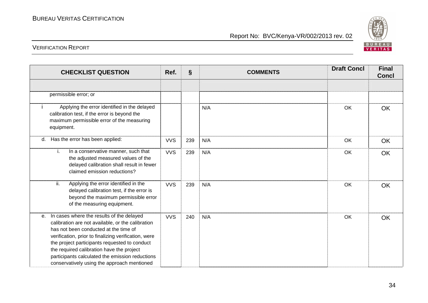

| <b>CHECKLIST QUESTION</b>                                                                                                                                                                                                                                                                                                                                                                                  | Ref.       | $\S$ | <b>COMMENTS</b> | <b>Draft Concl</b> | <b>Final</b><br><b>Concl</b> |
|------------------------------------------------------------------------------------------------------------------------------------------------------------------------------------------------------------------------------------------------------------------------------------------------------------------------------------------------------------------------------------------------------------|------------|------|-----------------|--------------------|------------------------------|
|                                                                                                                                                                                                                                                                                                                                                                                                            |            |      |                 |                    |                              |
| permissible error; or                                                                                                                                                                                                                                                                                                                                                                                      |            |      |                 |                    |                              |
| Applying the error identified in the delayed<br>calibration test, if the error is beyond the<br>maximum permissible error of the measuring<br>equipment.                                                                                                                                                                                                                                                   |            |      | N/A             | OK                 | OK                           |
| Has the error has been applied:<br>d.                                                                                                                                                                                                                                                                                                                                                                      | <b>VVS</b> | 239  | N/A             | OK                 | OK                           |
| In a conservative manner, such that<br>i.<br>the adjusted measured values of the<br>delayed calibration shall result in fewer<br>claimed emission reductions?                                                                                                                                                                                                                                              | <b>VVS</b> | 239  | N/A             | OK                 | OK                           |
| Applying the error identified in the<br>ii.<br>delayed calibration test, if the error is<br>beyond the maximum permissible error<br>of the measuring equipment.                                                                                                                                                                                                                                            | <b>VVS</b> | 239  | N/A             | OK                 | OK                           |
| In cases where the results of the delayed<br>$e_{1}$<br>calibration are not available, or the calibration<br>has not been conducted at the time of<br>verification, prior to finalizing verification, were<br>the project participants requested to conduct<br>the required calibration have the project<br>participants calculated the emission reductions<br>conservatively using the approach mentioned | <b>VVS</b> | 240  | N/A             | OK                 | OK                           |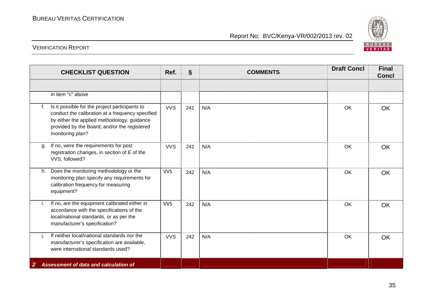

| <b>CHECKLIST QUESTION</b>                                                                         |                                                                                                                                                                                                   | Ref.       | $\S$ | <b>COMMENTS</b> | <b>Draft Concl</b> | <b>Final</b><br><b>Concl</b> |
|---------------------------------------------------------------------------------------------------|---------------------------------------------------------------------------------------------------------------------------------------------------------------------------------------------------|------------|------|-----------------|--------------------|------------------------------|
|                                                                                                   |                                                                                                                                                                                                   |            |      |                 |                    |                              |
| in item "c" above                                                                                 |                                                                                                                                                                                                   |            |      |                 |                    |                              |
| f.<br>monitoring plan?                                                                            | Is it possible for the project participants to<br>conduct the calibration at a frequency specified<br>by either the applied methodology, guidance<br>provided by the Board, and/or the registered | <b>VVS</b> | 241  | N/A             | <b>OK</b>          | <b>OK</b>                    |
| If no, were the requirements for post<br>a.<br>VVS, followed?                                     | registration changes, in section of E of the                                                                                                                                                      | <b>VVS</b> | 241  | N/A             | OK                 | <b>OK</b>                    |
| Does the monitoring methodology or the<br>h.<br>calibration frequency for measuring<br>equipment? | monitoring plan specify any requirements for                                                                                                                                                      | <b>VVS</b> | 242  | N/A             | <b>OK</b>          | <b>OK</b>                    |
| Ι.<br>local/national standards, or as per the<br>manufacturer's specification?                    | If no, are the equipment calibrated either in<br>accordance with the specifications of the                                                                                                        | <b>VVS</b> | 242  | N/A             | OK                 | <b>OK</b>                    |
| were international standards used?                                                                | If neither local/national standards nor the<br>manufacturer's specification are available,                                                                                                        | <b>VVS</b> | 242  | N/A             | <b>OK</b>          | <b>OK</b>                    |
| Assessment of data and calculation of<br>2                                                        |                                                                                                                                                                                                   |            |      |                 |                    |                              |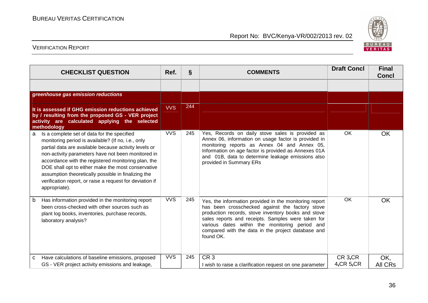

| <b>CHECKLIST QUESTION</b>                                                                                                                                                                                                                                                                                                                                                                                                                                              | Ref.       | $\S$ | <b>COMMENTS</b>                                                                                                                                                                                                                                                                                                                             | <b>Draft Concl</b>          | <b>Final</b><br><b>Concl</b> |
|------------------------------------------------------------------------------------------------------------------------------------------------------------------------------------------------------------------------------------------------------------------------------------------------------------------------------------------------------------------------------------------------------------------------------------------------------------------------|------------|------|---------------------------------------------------------------------------------------------------------------------------------------------------------------------------------------------------------------------------------------------------------------------------------------------------------------------------------------------|-----------------------------|------------------------------|
|                                                                                                                                                                                                                                                                                                                                                                                                                                                                        |            |      |                                                                                                                                                                                                                                                                                                                                             |                             |                              |
| greenhouse gas emission reductions                                                                                                                                                                                                                                                                                                                                                                                                                                     |            |      |                                                                                                                                                                                                                                                                                                                                             |                             |                              |
| It is assessed if GHG emission reductions achieved<br>by / resulting from the proposed GS - VER project<br>activity are calculated applying the selected<br>methodology                                                                                                                                                                                                                                                                                                | <b>VVS</b> | 244  |                                                                                                                                                                                                                                                                                                                                             |                             |                              |
| Is a complete set of data for the specified<br>a<br>monitoring period is available? (If no, i.e., only<br>partial data are available because activity levels or<br>non-activity parameters have not been monitored in<br>accordance with the registered monitoring plan, the<br>DOE shall opt to either make the most conservative<br>assumption theoretically possible in finalizing the<br>verification report, or raise a request for deviation if<br>appropriate). | <b>VVS</b> | 245  | Yes, Records on daily stove sales is provided as<br>Annex 06, information on usage factor is provided in<br>monitoring reports as Annex 04 and Annex 05,<br>Information on age factor is provided as Annexes 01A<br>and 01B, data to determine leakage emissions also<br>provided in Summary ERs                                            | OK                          | <b>OK</b>                    |
| Has information provided in the monitoring report<br>b<br>been cross-checked with other sources such as<br>plant log books, inventories, purchase records,<br>laboratory analysis?                                                                                                                                                                                                                                                                                     | <b>VVS</b> | 245  | Yes, the information provided in the monitoring report<br>has been crosschecked against the factory stove<br>production records, stove inventory books and stove<br>sales reports and receipts. Samples were taken for<br>various dates within the monitoring period and<br>compared with the data in the project database and<br>found OK. | OK                          | <b>OK</b>                    |
| Have calculations of baseline emissions, proposed<br>C<br>GS - VER project activity emissions and leakage,                                                                                                                                                                                                                                                                                                                                                             | <b>VVS</b> | 245  | CR <sub>3</sub><br>I wish to raise a clarification request on one parameter                                                                                                                                                                                                                                                                 | CR 3, CR<br>$4,$ CR $5,$ CR | OK,<br><b>All CRs</b>        |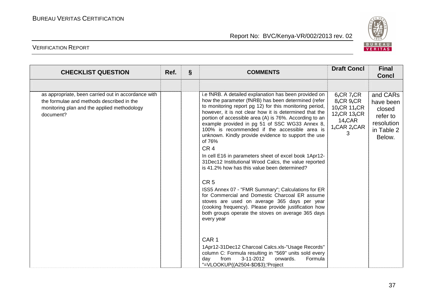

| <b>CHECKLIST QUESTION</b>                                                                                                                                    | Ref. | $\S$ | <b>COMMENTS</b>                                                                                                                                                                                                                                                                                                                                                                                                                                                                                                                                                                                                                                                                                                                                                                                                                                                                                                                                             | <b>Draft Concl</b>                                                                                 | <b>Final</b><br><b>Concl</b>                                                      |
|--------------------------------------------------------------------------------------------------------------------------------------------------------------|------|------|-------------------------------------------------------------------------------------------------------------------------------------------------------------------------------------------------------------------------------------------------------------------------------------------------------------------------------------------------------------------------------------------------------------------------------------------------------------------------------------------------------------------------------------------------------------------------------------------------------------------------------------------------------------------------------------------------------------------------------------------------------------------------------------------------------------------------------------------------------------------------------------------------------------------------------------------------------------|----------------------------------------------------------------------------------------------------|-----------------------------------------------------------------------------------|
|                                                                                                                                                              |      |      |                                                                                                                                                                                                                                                                                                                                                                                                                                                                                                                                                                                                                                                                                                                                                                                                                                                                                                                                                             |                                                                                                    |                                                                                   |
| as appropriate, been carried out in accordance with<br>the formulae and methods described in the<br>monitoring plan and the applied methodology<br>document? |      |      | i.e fNRB. A detailed explanation has been provided on<br>how the parameter (fNRB) has been determined (refer<br>to monitoring report pg 12) for this monitoring period,<br>however, it is not clear how it is determined that the<br>portion of accessible area (A) is 76%. According to an<br>example provided in pg 51 of SSC WG33 Annex 8,<br>100% is recommended if the accessible area is<br>unknown. Kindly provide evidence to support the use<br>of 76%<br>CR <sub>4</sub><br>In cell E16 in parameters sheet of excel book 1Apr12-<br>31Dec12 Institutional Wood Calcs, the value reported<br>is 41.2% how has this value been determined?<br>CR <sub>5</sub><br>ISS5 Annex 07 - "FMR Summary"; Calculations for ER<br>for Commercial and Domestic Charcoal ER assume<br>stoves are used on average 365 days per year<br>(cooking frequency). Please provide justification how<br>both groups operate the stoves on average 365 days<br>every year | $6,$ CR $7,$ CR<br>8, CR, 9, CR<br>10, CR 11, CR<br>12, CR 13, CR<br>14, CAR<br>1, CAR 2, CAR<br>3 | and CARs<br>have been<br>closed<br>refer to<br>resolution<br>in Table 2<br>Below. |
|                                                                                                                                                              |      |      | CAR <sub>1</sub><br>1Apr12-31Dec12 Charcoal Calcs.xls-"Usage Records"<br>column C: Formula resulting in "569" units sold every<br>3-11-2012<br>from<br>Formula<br>onwards.<br>day<br>"=VLOOKUP((A2504-\$D\$3);'Project                                                                                                                                                                                                                                                                                                                                                                                                                                                                                                                                                                                                                                                                                                                                      |                                                                                                    |                                                                                   |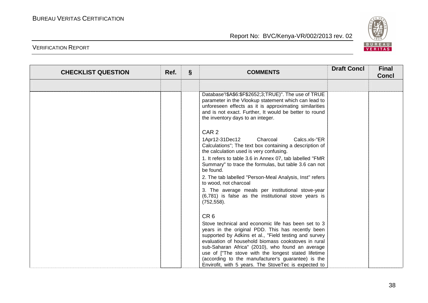

| <b>CHECKLIST QUESTION</b> | Ref. | § | <b>COMMENTS</b>                                                                                                                                                                                                                                                                                                                                                                                                                                   | <b>Draft Concl</b> | <b>Final</b><br><b>Concl</b> |
|---------------------------|------|---|---------------------------------------------------------------------------------------------------------------------------------------------------------------------------------------------------------------------------------------------------------------------------------------------------------------------------------------------------------------------------------------------------------------------------------------------------|--------------------|------------------------------|
|                           |      |   |                                                                                                                                                                                                                                                                                                                                                                                                                                                   |                    |                              |
|                           |      |   | Database'!\$A\$6:\$F\$2652;3;TRUE)". The use of TRUE<br>parameter in the Vlookup statement which can lead to<br>unforeseen effects as it is approximating similarities<br>and is not exact. Further, It would be better to round<br>the inventory days to an integer.                                                                                                                                                                             |                    |                              |
|                           |      |   | CAR <sub>2</sub>                                                                                                                                                                                                                                                                                                                                                                                                                                  |                    |                              |
|                           |      |   | 1Apr12-31Dec12<br>Charcoal<br>Calcs.xls-"ER<br>Calculations"; The text box containing a description of<br>the calculation used is very confusing.                                                                                                                                                                                                                                                                                                 |                    |                              |
|                           |      |   | 1. It refers to table 3.6 in Annex 07, tab labelled "FMR<br>Summary" to trace the formulas, but table 3.6 can not<br>be found.                                                                                                                                                                                                                                                                                                                    |                    |                              |
|                           |      |   | 2. The tab labelled "Person-Meal Analysis, Inst" refers<br>to wood, not charcoal                                                                                                                                                                                                                                                                                                                                                                  |                    |                              |
|                           |      |   | 3. The average meals per institutional stove-year<br>(6,781) is false as the institutional stove years is<br>$(752, 558)$ .                                                                                                                                                                                                                                                                                                                       |                    |                              |
|                           |      |   | CR <sub>6</sub>                                                                                                                                                                                                                                                                                                                                                                                                                                   |                    |                              |
|                           |      |   | Stove technical and economic life has been set to 3<br>years in the original PDD. This has recently been<br>supported by Adkins et al., "Field testing and survey<br>evaluation of household biomass cookstoves in rural<br>sub-Saharan Africa" (2010), who found an average<br>use of ["The stove with the longest stated lifetime<br>(according to the manufacturer's guarantee) is the<br>Envirofit, with 5 years. The StoveTec is expected to |                    |                              |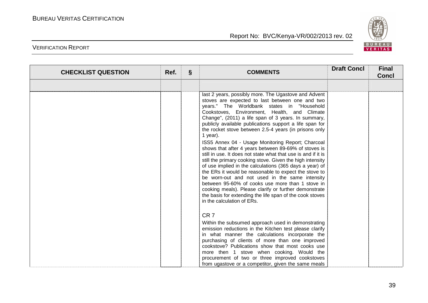

| <b>CHECKLIST QUESTION</b> | Ref. | $\S$ | <b>COMMENTS</b>                                                                                                                                                                                                                                                                                                                                                                                                                                                                                                                                                                                                                                                                                                                                                                                                                                                                                                                                                                                                      | <b>Draft Concl</b> | <b>Final</b><br><b>Concl</b> |
|---------------------------|------|------|----------------------------------------------------------------------------------------------------------------------------------------------------------------------------------------------------------------------------------------------------------------------------------------------------------------------------------------------------------------------------------------------------------------------------------------------------------------------------------------------------------------------------------------------------------------------------------------------------------------------------------------------------------------------------------------------------------------------------------------------------------------------------------------------------------------------------------------------------------------------------------------------------------------------------------------------------------------------------------------------------------------------|--------------------|------------------------------|
|                           |      |      |                                                                                                                                                                                                                                                                                                                                                                                                                                                                                                                                                                                                                                                                                                                                                                                                                                                                                                                                                                                                                      |                    |                              |
|                           |      |      | last 2 years, possibly more. The Ugastove and Advent<br>stoves are expected to last between one and two<br>years." The Worldbank states in "Household<br>Cookstoves, Environment, Health, and Climate<br>Change", (2011) a life span of 3 years. In summary,<br>publicly available publications support a life span for<br>the rocket stove between 2.5-4 years (in prisons only<br>1 year).<br>ISS5 Annex 04 - Usage Monitoring Report; Charcoal<br>shows that after 4 years between 89-69% of stoves is<br>still in use. It does not state what that use is and if it is<br>still the primary cooking stove. Given the high intensity<br>of use implied in the calculations (365 days a year) of<br>the ERs it would be reasonable to expect the stove to<br>be worn-out and not used in the same intensity<br>between 95-60% of cooks use more than 1 stove in<br>cooking meals). Please clarify or further demonstrate<br>the basis for extending the life span of the cook stoves<br>in the calculation of ERs. |                    |                              |
|                           |      |      | CR <sub>7</sub><br>Within the subsumed approach used in demonstrating<br>emission reductions in the Kitchen test please clarify<br>in what manner the calculations incorporate the<br>purchasing of clients of more than one improved<br>cookstove? Publications show that most cooks use<br>more then 1 stove when cooking. Would the<br>procurement of two or three improved cookstoves<br>from ugastove or a competitor, given the same meals                                                                                                                                                                                                                                                                                                                                                                                                                                                                                                                                                                     |                    |                              |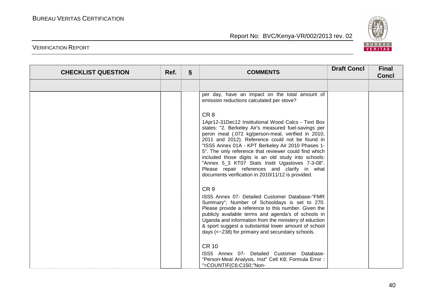

| <b>CHECKLIST QUESTION</b> | Ref. | $\S$ | <b>COMMENTS</b>                                                                                                                                                                                                                                                                                                                                                                                                                                                                                                                                                     | <b>Draft Concl</b> | <b>Final</b><br><b>Concl</b> |
|---------------------------|------|------|---------------------------------------------------------------------------------------------------------------------------------------------------------------------------------------------------------------------------------------------------------------------------------------------------------------------------------------------------------------------------------------------------------------------------------------------------------------------------------------------------------------------------------------------------------------------|--------------------|------------------------------|
|                           |      |      |                                                                                                                                                                                                                                                                                                                                                                                                                                                                                                                                                                     |                    |                              |
|                           |      |      | per day, have an impact on the total amount of<br>emission reductions calculated per stove?                                                                                                                                                                                                                                                                                                                                                                                                                                                                         |                    |                              |
|                           |      |      | CR <sub>8</sub><br>1Apr12-31Dec12 Institutional Wood Calcs - Text Box<br>states: "2. Berkeley Air's measured fuel-savings per<br>peron meal (.072 kg/person-meal, verified in 2010,<br>2011 and 2012). Reference could not be found in<br>"ISS5 Annex 01A - KPT Berkeley Air 2010 Phases 1-<br>5". The only reference that reviewer could find which<br>included those digits is an old study into schools:<br>"Annex 5_3 KT07 Stats Instit Ugastoves 7-3-08".<br>Please repair references and clarify in what<br>documents verification in 2010/11/12 is provided. |                    |                              |
|                           |      |      | CR <sub>9</sub><br>ISS5 Annex 07- Detailed Customer Database-"FMR<br>Summary"; Number of Schooldays is set to 270.<br>Please provide a reference to this number. Given the<br>publicly available terms and agenda's of schools in<br>Uganda and information from the ministery of eduction<br>& sport suggest a substantial lower amount of school<br>days (<~238) for primairy and secundairy schools.<br><b>CR 10</b><br>ISS5 Annex 07- Detailed Customer Database-<br>"Person-Meal Analysis, Inst" Cell K8; Formula Error :<br>"=COUNTIF(C6:C150;"Non-           |                    |                              |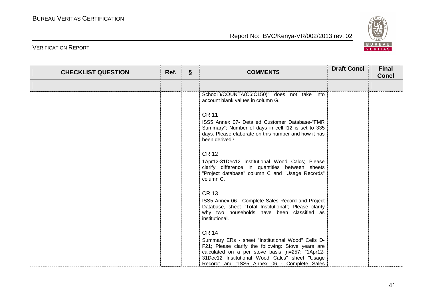

| <b>CHECKLIST QUESTION</b> | Ref. | $\S$ | <b>COMMENTS</b>                                                                                                                                                                                                                                                              | <b>Draft Concl</b> | <b>Final</b><br><b>Concl</b> |
|---------------------------|------|------|------------------------------------------------------------------------------------------------------------------------------------------------------------------------------------------------------------------------------------------------------------------------------|--------------------|------------------------------|
|                           |      |      |                                                                                                                                                                                                                                                                              |                    |                              |
|                           |      |      | School")/COUNTA(C6:C150)" does not take into<br>account blank values in column G.                                                                                                                                                                                            |                    |                              |
|                           |      |      | <b>CR 11</b><br>ISS5 Annex 07- Detailed Customer Database-"FMR<br>Summary"; Number of days in cell I12 is set to 335<br>days. Please elaborate on this number and how it has<br>been derived?                                                                                |                    |                              |
|                           |      |      | <b>CR 12</b><br>1Apr12-31Dec12 Institutional Wood Calcs; Please<br>clarify difference in quantities between sheets<br>"Project database" column C and "Usage Records"<br>column C.                                                                                           |                    |                              |
|                           |      |      | <b>CR 13</b><br>ISS5 Annex 06 - Complete Sales Record and Project<br>Database, sheet `Total Institutional`; Please clarify<br>why two households have been classified as<br>institutional.                                                                                   |                    |                              |
|                           |      |      | <b>CR 14</b><br>Summary ERs - sheet "Institutional Wood" Cells D-<br>F21; Please clarify the following: Stove years are<br>calculated on a per stove basis [n=257; "1Apr12-<br>31Dec12 Institutional Wood Calcs" sheet "Usage<br>Record" and "ISS5 Annex 06 - Complete Sales |                    |                              |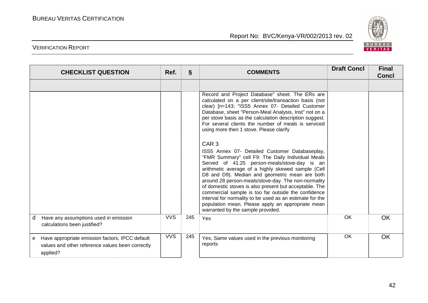

| <b>CHECKLIST QUESTION</b>                                                                                            | Ref.       | $\S$ | <b>COMMENTS</b>                                                                                                                                                                                                                                                                                                                                                                                                                                                                                                                                                                           | <b>Draft Concl</b> | <b>Final</b><br><b>Concl</b> |
|----------------------------------------------------------------------------------------------------------------------|------------|------|-------------------------------------------------------------------------------------------------------------------------------------------------------------------------------------------------------------------------------------------------------------------------------------------------------------------------------------------------------------------------------------------------------------------------------------------------------------------------------------------------------------------------------------------------------------------------------------------|--------------------|------------------------------|
|                                                                                                                      |            |      |                                                                                                                                                                                                                                                                                                                                                                                                                                                                                                                                                                                           |                    |                              |
|                                                                                                                      |            |      | Record and Project Database" sheet. The ERs are<br>calculated on a per client/site/transaction basis (not<br>clear) [n=143; "ISS5 Annex 07- Detailed Customer<br>Database, sheet "Person-Meal Analysis, Inst" not on a<br>per stove basis as the calculation description suggest.<br>For several clients the number of meals is serviced<br>using more then 1 stove. Please clarify                                                                                                                                                                                                       |                    |                              |
|                                                                                                                      |            |      | CAR <sub>3</sub>                                                                                                                                                                                                                                                                                                                                                                                                                                                                                                                                                                          |                    |                              |
|                                                                                                                      |            |      | ISS5 Annex 07- Detailed Customer Databaseplay,<br>"FMR Summary" cell F9: The Daily Individual Meals<br>Served of 41.25 person-meals/stove-day is an<br>arithmetic average of a highly skewed sample (Cell<br>D8 and D9). Median and geometric mean are both<br>around 28 person-meals/stove-day. The non-normality<br>of domestic stoves is also present but acceptable. The<br>commercial sample is too far outside the confidence<br>interval for normality to be used as an estimate for the<br>population mean. Please apply an appropriate mean<br>warranted by the sample provided. |                    |                              |
| Have any assumptions used in emission<br>d<br>calculations been justified?                                           | <b>VVS</b> | 245  | Yes                                                                                                                                                                                                                                                                                                                                                                                                                                                                                                                                                                                       | OK.                | OK                           |
| Have appropriate emission factors, IPCC default<br>e<br>values and other reference values been correctly<br>applied? | <b>VVS</b> | 245  | Yes, Same values used in the previous monitoring<br>reports                                                                                                                                                                                                                                                                                                                                                                                                                                                                                                                               | OK                 | <b>OK</b>                    |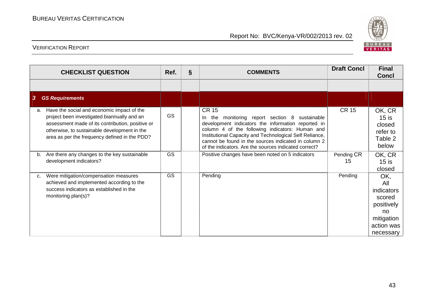

| <b>CHECKLIST QUESTION</b>                                                                                                                                                                                                                            | Ref.      | $\S$ | <b>COMMENTS</b>                                                                                                                                                                                                                                                                                                                                     | <b>Draft Concl</b> | <b>Final</b><br><b>Concl</b>                                                                    |
|------------------------------------------------------------------------------------------------------------------------------------------------------------------------------------------------------------------------------------------------------|-----------|------|-----------------------------------------------------------------------------------------------------------------------------------------------------------------------------------------------------------------------------------------------------------------------------------------------------------------------------------------------------|--------------------|-------------------------------------------------------------------------------------------------|
|                                                                                                                                                                                                                                                      |           |      |                                                                                                                                                                                                                                                                                                                                                     |                    |                                                                                                 |
| 3<br><b>GS Requirements</b>                                                                                                                                                                                                                          |           |      |                                                                                                                                                                                                                                                                                                                                                     |                    |                                                                                                 |
| Have the social and economic impact of the<br>a.<br>project been investigated biannually and an<br>assessment made of its contribution, positive or<br>otherwise, to sustainable development in the<br>area as per the frequency defined in the PDD? | <b>GS</b> |      | <b>CR 15</b><br>In the monitoring report section 8 sustainable<br>development indicators the information reported in<br>column 4 of the following indicators: Human and<br>Institutional Capacity and Technological Self Reliance,<br>cannot be found in the sources indicated in column 2<br>of the indicators. Are the sources indicated correct? | <b>CR 15</b>       | OK, CR<br>$15$ is<br>closed<br>refer to<br>Table 2<br>below                                     |
| Are there any changes to the key sustainable<br>b.<br>development indicators?                                                                                                                                                                        | <b>GS</b> |      | Positive changes have been noted on 5 indicators                                                                                                                                                                                                                                                                                                    | Pending CR<br>15   | OK, CR<br>$15$ is<br>closed                                                                     |
| Were mitigation/compensation measures<br>C.<br>achieved and implemented according to the<br>success indicators as established in the<br>monitoring plan(s)?                                                                                          | GS        |      | Pending                                                                                                                                                                                                                                                                                                                                             | Pending            | OK,<br>All<br>indicators<br>scored<br>positively<br>no<br>mitigation<br>action was<br>necessary |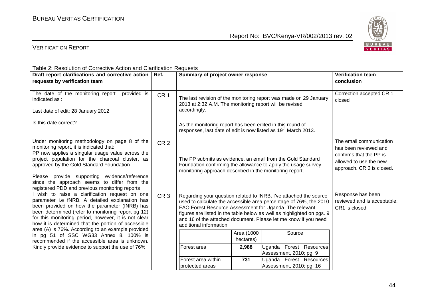

| Table 2: Resolution of Corrective Action and Clarification Requests                                                                                                                                                                                                                                                                                                                                                                                                                                                       |                 |                                                                                                                                                                                                                                                                                                                                                                                          |                                                                                                                                    |                                                                                                           |  |  |  |  |  |
|---------------------------------------------------------------------------------------------------------------------------------------------------------------------------------------------------------------------------------------------------------------------------------------------------------------------------------------------------------------------------------------------------------------------------------------------------------------------------------------------------------------------------|-----------------|------------------------------------------------------------------------------------------------------------------------------------------------------------------------------------------------------------------------------------------------------------------------------------------------------------------------------------------------------------------------------------------|------------------------------------------------------------------------------------------------------------------------------------|-----------------------------------------------------------------------------------------------------------|--|--|--|--|--|
| Draft report clarifications and corrective action   Ref.                                                                                                                                                                                                                                                                                                                                                                                                                                                                  |                 | Summary of project owner response                                                                                                                                                                                                                                                                                                                                                        |                                                                                                                                    | <b>Verification team</b>                                                                                  |  |  |  |  |  |
| requests by verification team                                                                                                                                                                                                                                                                                                                                                                                                                                                                                             |                 |                                                                                                                                                                                                                                                                                                                                                                                          | conclusion                                                                                                                         |                                                                                                           |  |  |  |  |  |
| The date of the monitoring report<br>provided is<br>indicated as:<br>Last date of edit: 28 January 2012<br>Is this date correct?                                                                                                                                                                                                                                                                                                                                                                                          | CR <sub>1</sub> | The last revision of the monitoring report was made on 29 January<br>2013 at 2:32 A.M. The monitoring report will be revised<br>accordingly.<br>As the monitoring report has been edited in this round of<br>responses, last date of edit is now listed as 19 <sup>th</sup> March 2013.                                                                                                  | Correction accepted CR 1<br>closed                                                                                                 |                                                                                                           |  |  |  |  |  |
| Under monitoring methodology on page 8 of the<br>monitoring report, it is indicated that:<br>PP now applies a singular usage value across the<br>project population for the charcoal cluster, as<br>approved by the Gold Standard Foundation<br>Please provide supporting evidence/reference<br>since the approach seems to differ from the<br>registered PDD and previous monitoring reports                                                                                                                             | CR <sub>2</sub> | The PP submits as evidence, an email from the Gold Standard<br>Foundation confirming the allowance to apply the usage survey<br>monitoring approach described in the monitoring report.                                                                                                                                                                                                  | The email communication<br>has been reviewed and<br>confirms that the PP is<br>allowed to use the new<br>approach. CR 2 is closed. |                                                                                                           |  |  |  |  |  |
| wish to raise a clarification request on one<br>parameter i.e fNRB. A detailed explanation has<br>been provided on how the parameter (fNRB) has<br>been determined (refer to monitoring report pg 12)<br>for this monitoring period, however, it is not clear<br>how it is determined that the portion of accessible<br>area (A) is 76%. According to an example provided<br>in pg 51 of SSC WG33 Annex 8, 100% is<br>recommended if the accessible area is unknown.<br>Kindly provide evidence to support the use of 76% | CR <sub>3</sub> | Regarding your question related to fNRB, I've attached the source<br>used to calculate the accessible area percentage of 76%, the 2010<br>FAO Forest Resource Assessment for Uganda. The relevant<br>figures are listed in the table below as well as highlighted on pgs. 9<br>and 16 of the attached document. Please let me know if you need<br>additional information.<br>Forest area | Response has been<br>reviewed and is acceptable.<br>CR1 is closed                                                                  |                                                                                                           |  |  |  |  |  |
|                                                                                                                                                                                                                                                                                                                                                                                                                                                                                                                           |                 | Forest area within<br>protected areas                                                                                                                                                                                                                                                                                                                                                    | 2,988<br>731                                                                                                                       | Uganda Forest Resources<br>Assessment, 2010; pg. 9<br>Uganda Forest Resources<br>Assessment, 2010; pg. 16 |  |  |  |  |  |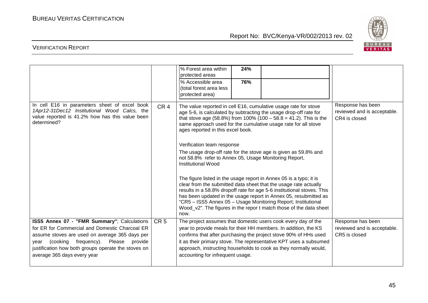

|                                                                                                                                                                                                                                                                                   |                 | % Forest area within<br>24%<br>protected areas<br>% Accessible area<br>76%<br>(total forest area less<br>protected area)                                                                                                                                                                                                                                                                                                                                                                                                  |
|-----------------------------------------------------------------------------------------------------------------------------------------------------------------------------------------------------------------------------------------------------------------------------------|-----------------|---------------------------------------------------------------------------------------------------------------------------------------------------------------------------------------------------------------------------------------------------------------------------------------------------------------------------------------------------------------------------------------------------------------------------------------------------------------------------------------------------------------------------|
| In cell E16 in parameters sheet of excel book<br>1Apr12-31Dec12 Institutional Wood Calcs, the<br>value reported is 41.2% how has this value been<br>determined?                                                                                                                   | CR <sub>4</sub> | Response has been<br>The value reported in cell E16, cumulative usage rate for stove<br>reviewed and is acceptable.<br>age 5-6, is calculated by subtracting the usage drop-off rate for<br>that stove age (58.8%) from 100% (100 - 58.8 = 41.2). This is the<br>CR4 is closed<br>same approach used for the cumulative usage rate for all stove<br>ages reported in this excel book.<br>Verification team response<br>The usage drop-off rate for the stove age is given as 59.8% and                                    |
|                                                                                                                                                                                                                                                                                   |                 | not 58.8% refer to Annex 05, Usage Monitoring Report,<br><b>Institutional Wood</b><br>The figure listed in the usage report in Annex 05 is a typo; it is<br>clear from the submitted data sheet that the usage rate actually<br>results in a 58.8% dropoff rate for age 5-6 institutional stoves. This<br>has been updated in the usage report in Annex 05, resubmitted as<br>"CR5 - ISS5 Annex 05 - Usage Monitoring Report; Institutional<br>Wood_v2". The figures in the repor t match those of the data sheet<br>now. |
| ISS5 Annex 07 - "FMR Summary"; Calculations<br>for ER for Commercial and Domestic Charcoal ER<br>assume stoves are used on average 365 days per<br>year (cooking frequency). Please provide<br>justification how both groups operate the stoves on<br>average 365 days every year | CR <sub>5</sub> | The project assumes that domestic users cook every day of the<br>Response has been<br>year to provide meals for their HH members. In addition, the KS<br>reviewed and is acceptable.<br>confirms that after purchasing the project stove 90% of HHs used<br>CR5 is closed<br>it as their primary stove. The representative KPT uses a subsumed<br>approach, instructing households to cook as they normally would,<br>accounting for infrequent usage.                                                                    |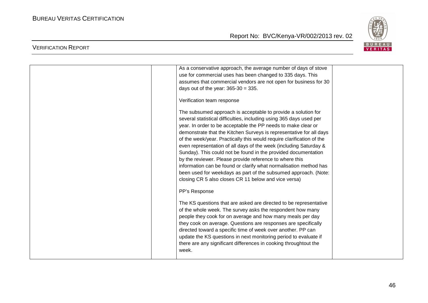

| As a conservative approach, the average number of days of stove<br>use for commercial uses has been changed to 335 days. This<br>assumes that commercial vendors are not open for business for 30<br>days out of the year: $365-30 = 335$ .<br>Verification team response<br>The subsumed approach is acceptable to provide a solution for<br>several statistical difficulties, including using 365 days used per<br>year. In order to be acceptable the PP needs to make clear or                                                             |  |
|------------------------------------------------------------------------------------------------------------------------------------------------------------------------------------------------------------------------------------------------------------------------------------------------------------------------------------------------------------------------------------------------------------------------------------------------------------------------------------------------------------------------------------------------|--|
| demonstrate that the Kitchen Surveys is representative for all days<br>of the week/year. Practically this would require clarification of the<br>even representation of all days of the week (including Saturday &<br>Sunday). This could not be found in the provided documentation<br>by the reviewer. Please provide reference to where this<br>information can be found or clarify what normalisation method has<br>been used for weekdays as part of the subsumed approach. (Note:<br>closing CR 5 also closes CR 11 below and vice versa) |  |
| PP's Response<br>The KS questions that are asked are directed to be representative<br>of the whole week. The survey asks the respondent how many<br>people they cook for on average and how many meals per day<br>they cook on average. Questions are responses are specifically<br>directed toward a specific time of week over another. PP can<br>update the KS questions in next monitoring period to evaluate if<br>there are any significant differences in cooking throughtout the<br>week.                                              |  |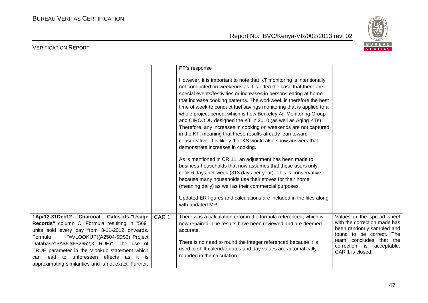

|                                                                                                                                                                                                                  |                  | PP's response                                                                                                                                                                                                                                                                                                                                                                                                                                                                                                                                                                                                                                                                                                                                                                                                                                                                                                                                                                                                                                                                                                                                      |                                                                                                                  |
|------------------------------------------------------------------------------------------------------------------------------------------------------------------------------------------------------------------|------------------|----------------------------------------------------------------------------------------------------------------------------------------------------------------------------------------------------------------------------------------------------------------------------------------------------------------------------------------------------------------------------------------------------------------------------------------------------------------------------------------------------------------------------------------------------------------------------------------------------------------------------------------------------------------------------------------------------------------------------------------------------------------------------------------------------------------------------------------------------------------------------------------------------------------------------------------------------------------------------------------------------------------------------------------------------------------------------------------------------------------------------------------------------|------------------------------------------------------------------------------------------------------------------|
|                                                                                                                                                                                                                  |                  | However, it is important to note that KT monitoring is intentionally<br>not conducted on weekends as it is often the case that there are<br>special events/festivities or increases in persons eating at home<br>that increase cooking patterns. The workweek is therefore the best<br>time of week to conduct fuel savings monitoring that is applied to a<br>whole project period, which is how Berkeley Air Monitoring Group<br>and CIRCODU designed the KT in 2010 (as well as Aging KTs).<br>Therefore, any increases in cooking on weekends are not captured<br>in the KT, meaning that these results already lean toward<br>conservative. It is likely that KS would also show answers that<br>demonstrate increases in cooking.<br>As is mentioned in CR 11, an adjustment has been made to<br>business-households that now assumes that these users only<br>cook 6 days per week (313 days per year). This is conservative<br>because many households use their stoves for their home<br>(meaning daily) as well as their commercial purposes.<br>Updated ER figures and calculations are included in the files along<br>with updated MR. |                                                                                                                  |
| 1Apr12-31Dec12 Charcoal Calcs.xls-"Usage                                                                                                                                                                         | CAR <sub>1</sub> | There was a calculation error in the formula referenced, which is                                                                                                                                                                                                                                                                                                                                                                                                                                                                                                                                                                                                                                                                                                                                                                                                                                                                                                                                                                                                                                                                                  | Values in the spread sheet                                                                                       |
| Records" column C: Formula resulting in "569"<br>units sold every day from 3-11-2012 onwards.<br>"=VLOOKUP((A2504-\$D\$3);'Project<br>Formula                                                                    |                  | now repaired. The results have been reviewed and are deemed<br>accurate.                                                                                                                                                                                                                                                                                                                                                                                                                                                                                                                                                                                                                                                                                                                                                                                                                                                                                                                                                                                                                                                                           | with the correction made has<br>been randomly sampled and<br>found to be correct. The<br>team concludes that the |
| Database'!\$A\$6:\$F\$2652;3;TRUE)". The use of<br>TRUE parameter in the Vlookup statement which<br>unforeseen effects as<br>lead<br>to<br>it is<br>can<br>approximating similarities and is not exact. Further, |                  | There is no need to round the integer referenced because it is<br>used to shift calendar dates and day values are automatically<br>rounded in the calculation.                                                                                                                                                                                                                                                                                                                                                                                                                                                                                                                                                                                                                                                                                                                                                                                                                                                                                                                                                                                     | correction is acceptable.<br>CAR 1 is closed.                                                                    |
|                                                                                                                                                                                                                  |                  |                                                                                                                                                                                                                                                                                                                                                                                                                                                                                                                                                                                                                                                                                                                                                                                                                                                                                                                                                                                                                                                                                                                                                    |                                                                                                                  |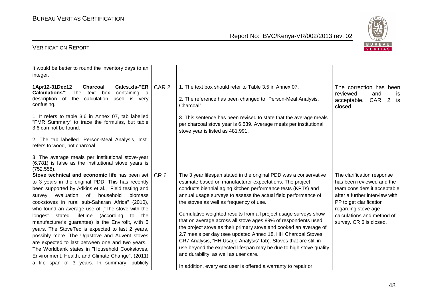

| It would be better to round the inventory days to an<br>integer.                                                                                               |                  |                                                                                                                                                                            |                                                                                                       |
|----------------------------------------------------------------------------------------------------------------------------------------------------------------|------------------|----------------------------------------------------------------------------------------------------------------------------------------------------------------------------|-------------------------------------------------------------------------------------------------------|
| 1Apr12-31Dec12<br><b>Charcoal</b><br>Calcs.xls-"ER<br><b>Calculations"</b> ; The text box<br>containing a<br>description of<br>the calculation<br>used is very | CAR <sub>2</sub> | 1. The text box should refer to Table 3.5 in Annex 07.<br>2. The reference has been changed to "Person-Meal Analysis,                                                      | The correction has been<br>reviewed<br>and<br><b>is</b><br>CAR<br>$\overline{2}$<br>acceptable.<br>is |
| confusing.                                                                                                                                                     |                  | Charcoal"                                                                                                                                                                  | closed.                                                                                               |
| 1. It refers to table 3.6 in Annex 07, tab labelled<br>"FMR Summary" to trace the formulas, but table<br>3.6 can not be found.                                 |                  | 3. This sentence has been revised to state that the average meals<br>per charcoal stove year is 6,539. Average meals per institutional<br>stove year is listed as 481,991. |                                                                                                       |
| 2. The tab labelled "Person-Meal Analysis, Inst"<br>refers to wood, not charcoal                                                                               |                  |                                                                                                                                                                            |                                                                                                       |
| 3. The average meals per institutional stove-year<br>(6,781) is false as the institutional stove years is<br>(752, 558).                                       |                  |                                                                                                                                                                            |                                                                                                       |
| Stove technical and economic life has been set                                                                                                                 | CR <sub>6</sub>  | The 3 year lifespan stated in the original PDD was a conservative                                                                                                          | The clarification response                                                                            |
| to 3 years in the original PDD. This has recently                                                                                                              |                  | estimate based on manufacturer expectations. The project                                                                                                                   | has been reviewed and the                                                                             |
| been supported by Adkins et al., "Field testing and                                                                                                            |                  | conducts biennial aging kitchen performance tests (KPTs) and                                                                                                               | team considers it acceptable                                                                          |
| survey evaluation<br>of household<br>biomass                                                                                                                   |                  | annual usage surveys to assess the actual field performance of                                                                                                             | after a further interview with                                                                        |
| cookstoves in rural sub-Saharan Africa" (2010),                                                                                                                |                  | the stoves as well as frequency of use.                                                                                                                                    | PP to get clarification                                                                               |
| who found an average use of ["The stove with the<br>longest stated lifetime (according<br>to<br>the                                                            |                  | Cumulative weighted results from all project usage surveys show                                                                                                            | regarding stove age<br>calculations and method of                                                     |
| manufacturer's guarantee) is the Envirofit, with 5                                                                                                             |                  | that on average across all stove ages 89% of respondents used                                                                                                              | survey. CR 6 is closed.                                                                               |
| years. The StoveTec is expected to last 2 years,                                                                                                               |                  | the project stove as their primary stove and cooked an average of                                                                                                          |                                                                                                       |
| possibly more. The Ugastove and Advent stoves                                                                                                                  |                  | 2.7 meals per day (see updated Annex 18, HH Charcoal Stoves:                                                                                                               |                                                                                                       |
| are expected to last between one and two years."                                                                                                               |                  | CR7 Analysis, "HH Usage Analysis" tab). Stoves that are still in                                                                                                           |                                                                                                       |
| The Worldbank states in "Household Cookstoves,                                                                                                                 |                  | use beyond the expected lifespan may be due to high stove quality                                                                                                          |                                                                                                       |
| Environment, Health, and Climate Change", (2011)                                                                                                               |                  | and durability, as well as user care.                                                                                                                                      |                                                                                                       |
| a life span of 3 years. In summary, publicly                                                                                                                   |                  | In addition, every end user is offered a warranty to repair or                                                                                                             |                                                                                                       |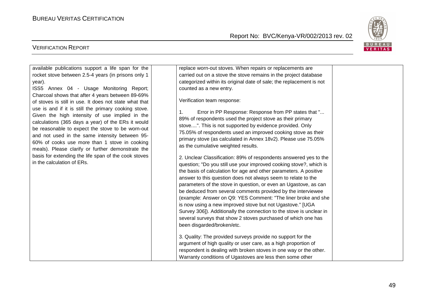

| available publications support a life span for the                                                                                                                                                                                                                                                                                                                                                                                                                                                                                                                                                                       | replace worn-out stoves. When repairs or replacements are                                                                                                                                                                                                                                                                                                                                                                                                                                                                                                                                                                                                                                                                                                                                                                                                                           |
|--------------------------------------------------------------------------------------------------------------------------------------------------------------------------------------------------------------------------------------------------------------------------------------------------------------------------------------------------------------------------------------------------------------------------------------------------------------------------------------------------------------------------------------------------------------------------------------------------------------------------|-------------------------------------------------------------------------------------------------------------------------------------------------------------------------------------------------------------------------------------------------------------------------------------------------------------------------------------------------------------------------------------------------------------------------------------------------------------------------------------------------------------------------------------------------------------------------------------------------------------------------------------------------------------------------------------------------------------------------------------------------------------------------------------------------------------------------------------------------------------------------------------|
| rocket stove between 2.5-4 years (in prisons only 1                                                                                                                                                                                                                                                                                                                                                                                                                                                                                                                                                                      | carried out on a stove the stove remains in the project database                                                                                                                                                                                                                                                                                                                                                                                                                                                                                                                                                                                                                                                                                                                                                                                                                    |
| year).                                                                                                                                                                                                                                                                                                                                                                                                                                                                                                                                                                                                                   | categorized within its original date of sale; the replacement is not                                                                                                                                                                                                                                                                                                                                                                                                                                                                                                                                                                                                                                                                                                                                                                                                                |
|                                                                                                                                                                                                                                                                                                                                                                                                                                                                                                                                                                                                                          | counted as a new entry.                                                                                                                                                                                                                                                                                                                                                                                                                                                                                                                                                                                                                                                                                                                                                                                                                                                             |
| ISS5 Annex 04 - Usage Monitoring Report;<br>Charcoal shows that after 4 years between 89-69%<br>of stoves is still in use. It does not state what that<br>use is and if it is still the primary cooking stove.<br>Given the high intensity of use implied in the<br>calculations (365 days a year) of the ERs it would<br>be reasonable to expect the stove to be worn-out<br>and not used in the same intensity between 95-<br>60% of cooks use more than 1 stove in cooking<br>meals). Please clarify or further demonstrate the<br>basis for extending the life span of the cook stoves<br>in the calculation of ERs. | Verification team response:<br>Error in PP Response: Response from PP states that "<br>1.<br>89% of respondents used the project stove as their primary<br>stove". This is not supported by evidence provided. Only<br>75.05% of respondents used an improved cooking stove as their<br>primary stove (as calculated in Annex 18v2). Please use 75.05%<br>as the cumulative weighted results.<br>2. Unclear Classification: 89% of respondents answered yes to the<br>question; "Do you still use your improved cooking stove?, which is<br>the basis of calculation for age and other parameters. A positive<br>answer to this question does not always seem to relate to the<br>parameters of the stove in question, or even an Ugastove, as can<br>be deduced from several comments provided by the interviewee<br>(example: Answer on Q9: YES Comment: "The liner broke and she |
|                                                                                                                                                                                                                                                                                                                                                                                                                                                                                                                                                                                                                          | is now using a new improved stove but not Ugastove." [UGA                                                                                                                                                                                                                                                                                                                                                                                                                                                                                                                                                                                                                                                                                                                                                                                                                           |
|                                                                                                                                                                                                                                                                                                                                                                                                                                                                                                                                                                                                                          | Survey 306]). Additionally the connection to the stove is unclear in                                                                                                                                                                                                                                                                                                                                                                                                                                                                                                                                                                                                                                                                                                                                                                                                                |
|                                                                                                                                                                                                                                                                                                                                                                                                                                                                                                                                                                                                                          | several surveys that show 2 stoves purchased of which one has                                                                                                                                                                                                                                                                                                                                                                                                                                                                                                                                                                                                                                                                                                                                                                                                                       |
|                                                                                                                                                                                                                                                                                                                                                                                                                                                                                                                                                                                                                          | been disgarded/broken/etc.                                                                                                                                                                                                                                                                                                                                                                                                                                                                                                                                                                                                                                                                                                                                                                                                                                                          |
|                                                                                                                                                                                                                                                                                                                                                                                                                                                                                                                                                                                                                          | 3. Quality: The provided surveys provide no support for the<br>argument of high quality or user care, as a high proportion of<br>respondent is dealing with broken stoves in one way or the other.<br>Warranty conditions of Ugastoves are less then some other                                                                                                                                                                                                                                                                                                                                                                                                                                                                                                                                                                                                                     |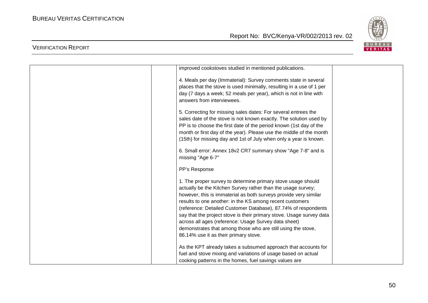

| improved cookstoves studied in mentioned publications.               |  |
|----------------------------------------------------------------------|--|
| 4. Meals per day (Immaterial): Survey comments state in several      |  |
| places that the stove is used minimally, resulting in a use of 1 per |  |
| day (7 days a week; 52 meals per year), which is not in line with    |  |
| answers from interviewees.                                           |  |
|                                                                      |  |
| 5. Correcting for missing sales dates: For several entrees the       |  |
| sales date of the stove is not known exactly. The solution used by   |  |
| PP is to choose the first date of the period known (1st day of the   |  |
| month or first day of the year). Please use the middle of the month  |  |
| (15th) for missing day and 1st of July when only a year is known.    |  |
|                                                                      |  |
| 6. Small error: Annex 18v2 CR7 summary show "Age 7-8" and is         |  |
| missing "Age 6-7"                                                    |  |
|                                                                      |  |
| PP's Response                                                        |  |
| 1. The proper survey to determine primary stove usage should         |  |
| actually be the Kitchen Survey rather than the usage survey;         |  |
| however, this is immaterial as both surveys provide very similar     |  |
| results to one another: in the KS among recent customers             |  |
| (reference: Detailed Customer Database), 87.74% of respondents       |  |
| say that the project stove is their primary stove. Usage survey data |  |
| across all ages (reference: Usage Survey data sheet)                 |  |
| demonstrates that among those who are still using the stove,         |  |
|                                                                      |  |
| 86.14% use it as their primary stove.                                |  |
| As the KPT already takes a subsumed approach that accounts for       |  |
| fuel and stove mixing and variations of usage based on actual        |  |
| cooking patterns in the homes, fuel savings values are               |  |
|                                                                      |  |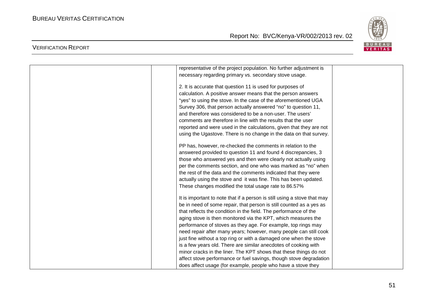

| representative of the project population. No further adjustment is       |  |
|--------------------------------------------------------------------------|--|
| necessary regarding primary vs. secondary stove usage.                   |  |
| 2. It is accurate that question 11 is used for purposes of               |  |
|                                                                          |  |
| calculation. A positive answer means that the person answers             |  |
| "yes" to using the stove. In the case of the aforementioned UGA          |  |
| Survey 306, that person actually answered "no" to question 11,           |  |
| and therefore was considered to be a non-user. The users'                |  |
| comments are therefore in line with the results that the user            |  |
| reported and were used in the calculations, given that they are not      |  |
| using the Ugastove. There is no change in the data on that survey.       |  |
| PP has, however, re-checked the comments in relation to the              |  |
| answered provided to question 11 and found 4 discrepancies, 3            |  |
| those who answered yes and then were clearly not actually using          |  |
| per the comments section, and one who was marked as "no" when            |  |
| the rest of the data and the comments indicated that they were           |  |
|                                                                          |  |
| actually using the stove and it was fine. This has been updated.         |  |
| These changes modified the total usage rate to 86.57%                    |  |
| It is important to note that if a person is still using a stove that may |  |
| be in need of some repair, that person is still counted as a yes as      |  |
| that reflects the condition in the field. The performance of the         |  |
| aging stove is then monitored via the KPT, which measures the            |  |
| performance of stoves as they age. For example, top rings may            |  |
| need repair after many years; however, many people can still cook        |  |
| just fine without a top ring or with a damaged one when the stove        |  |
| is a few years old. There are similar anecdotes of cooking with          |  |
| minor cracks in the liner. The KPT shows that these things do not        |  |
| affect stove performance or fuel savings, though stove degradation       |  |
| does affect usage (for example, people who have a stove they             |  |
|                                                                          |  |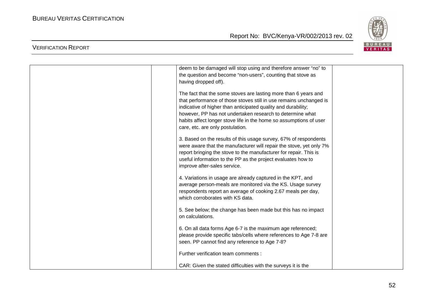

| deem to be damaged will stop using and therefore answer "no" to<br>the question and become "non-users", counting that stove as<br>having dropped off).                                                                                                                                                                                                                        |  |
|-------------------------------------------------------------------------------------------------------------------------------------------------------------------------------------------------------------------------------------------------------------------------------------------------------------------------------------------------------------------------------|--|
| The fact that the some stoves are lasting more than 6 years and<br>that performance of those stoves still in use remains unchanged is<br>indicative of higher than anticipated quality and durability;<br>however, PP has not undertaken research to determine what<br>habits affect longer stove life in the home so assumptions of user<br>care, etc. are only postulation. |  |
| 3. Based on the results of this usage survey, 67% of respondents<br>were aware that the manufacturer will repair the stove, yet only 7%<br>report bringing the stove to the manufacturer for repair. This is<br>useful information to the PP as the project evaluates how to<br>improve after-sales service.                                                                  |  |
| 4. Variations in usage are already captured in the KPT, and<br>average person-meals are monitored via the KS. Usage survey<br>respondents report an average of cooking 2.67 meals per day,<br>which corroborates with KS data.                                                                                                                                                |  |
| 5. See below; the change has been made but this has no impact<br>on calculations.                                                                                                                                                                                                                                                                                             |  |
| 6. On all data forms Age 6-7 is the maximum age referenced;<br>please provide specific tabs/cells where references to Age 7-8 are<br>seen. PP cannot find any reference to Age 7-8?                                                                                                                                                                                           |  |
| Further verification team comments :                                                                                                                                                                                                                                                                                                                                          |  |
| CAR: Given the stated difficulties with the surveys it is the                                                                                                                                                                                                                                                                                                                 |  |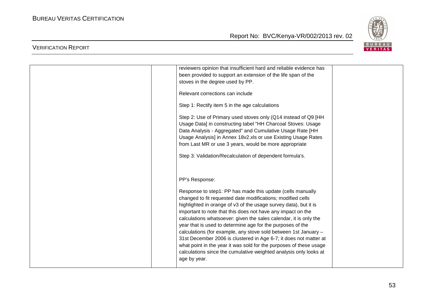

| reviewers opinion that insufficient hard and reliable evidence has<br>been provided to support an extension of the life span of the<br>stoves in the degree used by PP.                                                                                                                                                                                                                                                                                                                                                                                                                                                                                                                            |  |
|----------------------------------------------------------------------------------------------------------------------------------------------------------------------------------------------------------------------------------------------------------------------------------------------------------------------------------------------------------------------------------------------------------------------------------------------------------------------------------------------------------------------------------------------------------------------------------------------------------------------------------------------------------------------------------------------------|--|
| Relevant corrections can include                                                                                                                                                                                                                                                                                                                                                                                                                                                                                                                                                                                                                                                                   |  |
| Step 1: Rectify item 5 in the age calculations                                                                                                                                                                                                                                                                                                                                                                                                                                                                                                                                                                                                                                                     |  |
| Step 2: Use of Primary used stoves only (Q14 instead of Q9 [HH<br>Usage Data] in constructing tabel "HH Charcoal Stoves: Usage<br>Data Analysis - Aggregated" and Cumulative Usage Rate [HH<br>Usage Analysis] in Annex 18v2.xls or use Existing Usage Rates<br>from Last MR or use 3 years, would be more appropriate<br>Step 3: Validation/Recalculation of dependent formula's.                                                                                                                                                                                                                                                                                                                 |  |
|                                                                                                                                                                                                                                                                                                                                                                                                                                                                                                                                                                                                                                                                                                    |  |
| PP's Response:                                                                                                                                                                                                                                                                                                                                                                                                                                                                                                                                                                                                                                                                                     |  |
| Response to step1: PP has made this update (cells manually<br>changed to fit requested date modifications; modified cells<br>highlighted in orange of v3 of the usage survey data), but it is<br>important to note that this does not have any impact on the<br>calculations whatsoever: given the sales calendar, it is only the<br>year that is used to determine age for the purposes of the<br>calculations (for example, any stove sold between 1st January -<br>31st December 2006 is clustered in Age 6-7; it does not matter at<br>what point in the year it was sold for the purposes of these usage<br>calculations since the cumulative weighted analysis only looks at<br>age by year. |  |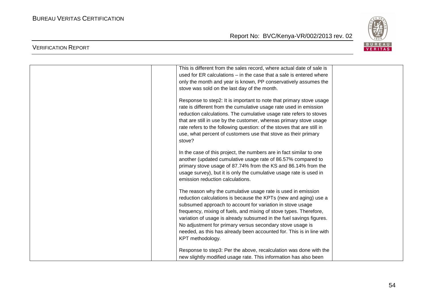VERIFICATION REPORT

Report No: BVC/Kenya-VR/002/2013 rev. 02



| This is different from the sales record, where actual date of sale is  |
|------------------------------------------------------------------------|
| used for ER calculations - in the case that a sale is entered where    |
| only the month and year is known, PP conservatively assumes the        |
| stove was sold on the last day of the month.                           |
| Response to step2: It is important to note that primary stove usage    |
| rate is different from the cumulative usage rate used in emission      |
| reduction calculations. The cumulative usage rate refers to stoves     |
| that are still in use by the customer, whereas primary stove usage     |
| rate refers to the following question: of the stoves that are still in |
| use, what percent of customers use that stove as their primary         |
| stove?                                                                 |
| In the case of this project, the numbers are in fact similar to one    |
| another (updated cumulative usage rate of 86.57% compared to           |
| primary stove usage of 87.74% from the KS and 86.14% from the          |
| usage survey), but it is only the cumulative usage rate is used in     |
| emission reduction calculations.                                       |
| The reason why the cumulative usage rate is used in emission           |
| reduction calculations is because the KPTs (new and aging) use a       |
| subsumed approach to account for variation in stove usage              |
| frequency, mixing of fuels, and mixing of stove types. Therefore,      |
| variation of usage is already subsumed in the fuel savings figures.    |
| No adjustment for primary versus secondary stove usage is              |
| needed, as this has already been accounted for. This is in line with   |
| KPT methodology.                                                       |
| Response to step3: Per the above, recalculation was done with the      |
| new slightly modified usage rate. This information has also been       |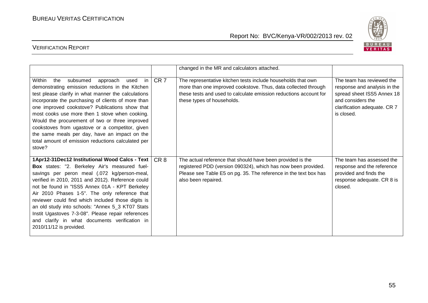

|                                                                                                                                                                                                                                                                                                                                                                                                                                                                                                                                                     |                 | changed in the MR and calculators attached.                                                                                                                                                                                       |                                                                                                                                                            |
|-----------------------------------------------------------------------------------------------------------------------------------------------------------------------------------------------------------------------------------------------------------------------------------------------------------------------------------------------------------------------------------------------------------------------------------------------------------------------------------------------------------------------------------------------------|-----------------|-----------------------------------------------------------------------------------------------------------------------------------------------------------------------------------------------------------------------------------|------------------------------------------------------------------------------------------------------------------------------------------------------------|
| Within<br>the<br>subsumed<br>in I<br>approach<br>used<br>demonstrating emission reductions in the Kitchen<br>test please clarify in what manner the calculations<br>incorporate the purchasing of clients of more than<br>one improved cookstove? Publications show that<br>most cooks use more then 1 stove when cooking.<br>Would the procurement of two or three improved<br>cookstoves from ugastove or a competitor, given<br>the same meals per day, have an impact on the<br>total amount of emission reductions calculated per<br>stove?    | CR <sub>7</sub> | The representative kitchen tests include households that own<br>more than one improved cookstove. Thus, data collected through<br>these tests and used to calculate emission reductions account for<br>these types of households. | The team has reviewed the<br>response and analysis in the<br>spread sheet ISS5 Annex 18<br>and considers the<br>clarification adequate. CR 7<br>is closed. |
| 1Apr12-31Dec12 Institutional Wood Calcs - Text<br>Box states: "2. Berkeley Air's measured fuel-<br>savings per peron meal (.072 kg/person-meal,<br>verified in 2010, 2011 and 2012). Reference could<br>not be found in "ISS5 Annex 01A - KPT Berkeley<br>Air 2010 Phases 1-5". The only reference that<br>reviewer could find which included those digits is<br>an old study into schools: "Annex 5_3 KT07 Stats<br>Instit Ugastoves 7-3-08". Please repair references<br>and clarify in what documents verification in<br>2010/11/12 is provided. | CR <sub>8</sub> | The actual reference that should have been provided is the<br>registered PDD (version 090324), which has now been provided.<br>Please see Table E5 on pg. 35. The reference in the text box has<br>also been repaired.            | The team has assessed the<br>response and the reference<br>provided and finds the<br>response adequate. CR 8 is<br>closed.                                 |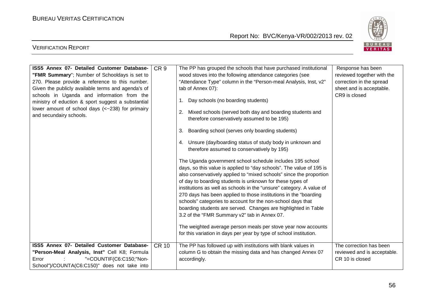

| ISS5 Annex 07- Detailed Customer Database-<br>"FMR Summary"; Number of Schooldays is set to<br>270. Please provide a reference to this number.<br>Given the publicly available terms and agenda's of<br>schools in Uganda and information from the<br>ministry of eduction & sport suggest a substantial<br>lower amount of school days (<~238) for primairy<br>and secundairy schools. | CR <sub>9</sub> | The PP has grouped the schools that have purchased institutional<br>wood stoves into the following attendance categories (see<br>"Attendance Type" column in the "Person-meal Analysis, Inst, v2"<br>tab of Annex 07):<br>1. Day schools (no boarding students)<br>Mixed schools (served both day and boarding students and<br>2.<br>therefore conservatively assumed to be 195)<br>Boarding school (serves only boarding students)<br>3.<br>4. Unsure (day/boarding status of study body in unknown and<br>therefore assumed to conservatively by 195)<br>The Uganda government school schedule includes 195 school<br>days, so this value is applied to "day schools". The value of 195 is<br>also conservatively applied to "mixed schools" since the proportion<br>of day to boarding students is unknown for these types of<br>institutions as well as schools in the "unsure" category. A value of<br>270 days has been applied to those institutions in the "boarding<br>schools" categories to account for the non-school days that<br>boarding students are served. Changes are highlighted in Table<br>3.2 of the "FMR Summary v2" tab in Annex 07.<br>The weighted average person meals per stove year now accounts<br>for this variation in days per year by type of school institution. | Response has been<br>reviewed together with the<br>correction in the spread<br>sheet and is acceptable.<br>CR9 is closed |
|-----------------------------------------------------------------------------------------------------------------------------------------------------------------------------------------------------------------------------------------------------------------------------------------------------------------------------------------------------------------------------------------|-----------------|------------------------------------------------------------------------------------------------------------------------------------------------------------------------------------------------------------------------------------------------------------------------------------------------------------------------------------------------------------------------------------------------------------------------------------------------------------------------------------------------------------------------------------------------------------------------------------------------------------------------------------------------------------------------------------------------------------------------------------------------------------------------------------------------------------------------------------------------------------------------------------------------------------------------------------------------------------------------------------------------------------------------------------------------------------------------------------------------------------------------------------------------------------------------------------------------------------------------------------------------------------------------------------------------------|--------------------------------------------------------------------------------------------------------------------------|
| ISS5 Annex 07- Detailed Customer Database-<br>"Person-Meal Analysis, Inst" Cell K8; Formula<br>"=COUNTIF(C6:C150;"Non-<br>Error<br>School")/COUNTA(C6:C150)" does not take into                                                                                                                                                                                                         | <b>CR 10</b>    | The PP has followed up with institutions with blank values in<br>column G to obtain the missing data and has changed Annex 07<br>accordingly.                                                                                                                                                                                                                                                                                                                                                                                                                                                                                                                                                                                                                                                                                                                                                                                                                                                                                                                                                                                                                                                                                                                                                        | The correction has been<br>reviewed and is acceptable.<br>CR 10 is closed                                                |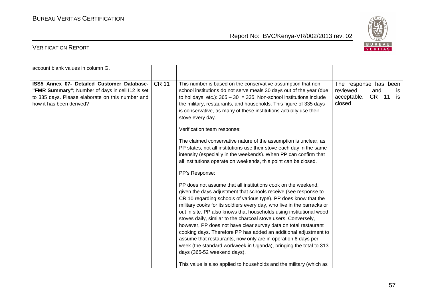BUREAU<br><mark>VERITAS</mark>

#### Report No: BVC/Kenya-VR/002/2013 rev. 02

| account blank values in column G.                                                                                                                                              |              |                                                                                                                                                                                                                                                                                                                                                                                                                                                                                                                                                                                                                                                                                                                                                                                                                                                                                                                                                                                                                                                                                                                                                                                                                                                                                                                                                                                                                                                                                                                                |                                                                                        |
|--------------------------------------------------------------------------------------------------------------------------------------------------------------------------------|--------------|--------------------------------------------------------------------------------------------------------------------------------------------------------------------------------------------------------------------------------------------------------------------------------------------------------------------------------------------------------------------------------------------------------------------------------------------------------------------------------------------------------------------------------------------------------------------------------------------------------------------------------------------------------------------------------------------------------------------------------------------------------------------------------------------------------------------------------------------------------------------------------------------------------------------------------------------------------------------------------------------------------------------------------------------------------------------------------------------------------------------------------------------------------------------------------------------------------------------------------------------------------------------------------------------------------------------------------------------------------------------------------------------------------------------------------------------------------------------------------------------------------------------------------|----------------------------------------------------------------------------------------|
| ISS5 Annex 07- Detailed Customer Database-<br>"FMR Summary"; Number of days in cell I12 is set<br>to 335 days. Please elaborate on this number and<br>how it has been derived? | <b>CR 11</b> | This number is based on the conservative assumption that non-<br>school institutions do not serve meals 30 days out of the year (due<br>to holidays, etc.): $365 - 30 = 335$ . Non-school institutions include<br>the military, restaurants, and households. This figure of 335 days<br>is conservative, as many of these institutions actually use their<br>stove every day.<br>Verification team response:<br>The claimed conservative nature of the assumption is unclear, as<br>PP states, not all institutions use their stove each day in the same<br>intensity (especially in the weekends). When PP can confirm that<br>all institutions operate on weekends, this point can be closed.<br>PP's Response:<br>PP does not assume that all institutions cook on the weekend,<br>given the days adjustment that schools receive (see response to<br>CR 10 regarding schools of various type). PP does know that the<br>military cooks for its soldiers every day, who live in the barracks or<br>out in site. PP also knows that households using institutional wood<br>stoves daily, similar to the charcoal stove users. Conversely,<br>however, PP does not have clear survey data on total restaurant<br>cooking days. Therefore PP has added an additional adjustment to<br>assume that restaurants, now only are in operation 6 days per<br>week (the standard workweek in Uganda), bringing the total to 313<br>days (365-52 weekend days).<br>This value is also applied to households and the military (which as | The response has been<br>reviewed<br>and<br>IS<br>CR 11<br>is<br>acceptable.<br>closed |
|                                                                                                                                                                                |              |                                                                                                                                                                                                                                                                                                                                                                                                                                                                                                                                                                                                                                                                                                                                                                                                                                                                                                                                                                                                                                                                                                                                                                                                                                                                                                                                                                                                                                                                                                                                |                                                                                        |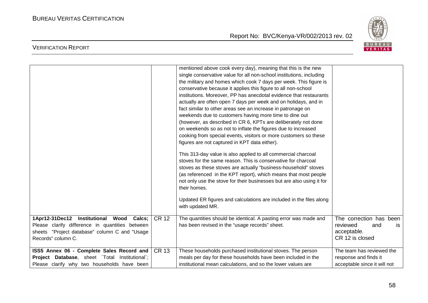

|                                                                                                                                                                    |              | mentioned above cook every day), meaning that this is the new<br>single conservative value for all non-school institutions, including<br>the military and homes which cook 7 days per week. This figure is<br>conservative because it applies this figure to all non-school<br>institutions. Moreover, PP has anecdotal evidence that restaurants<br>actually are often open 7 days per week and on holidays, and in<br>fact similar to other areas see an increase in patronage on<br>weekends due to customers having more time to dine out<br>(however, as described in CR 6, KPTs are deliberately not done<br>on weekends so as not to inflate the figures due to increased<br>cooking from special events, visitors or more customers so these<br>figures are not captured in KPT data either).<br>This 313-day value is also applied to all commercial charcoal<br>stoves for the same reason. This is conservative for charcoal<br>stoves as these stoves are actually "business-household" stoves<br>(as referenced in the KPT report), which means that most people<br>not only use the stove for their businesses but are also using it for<br>their homes.<br>Updated ER figures and calculations are included in the files along<br>with updated MR. |                                                                                           |
|--------------------------------------------------------------------------------------------------------------------------------------------------------------------|--------------|-------------------------------------------------------------------------------------------------------------------------------------------------------------------------------------------------------------------------------------------------------------------------------------------------------------------------------------------------------------------------------------------------------------------------------------------------------------------------------------------------------------------------------------------------------------------------------------------------------------------------------------------------------------------------------------------------------------------------------------------------------------------------------------------------------------------------------------------------------------------------------------------------------------------------------------------------------------------------------------------------------------------------------------------------------------------------------------------------------------------------------------------------------------------------------------------------------------------------------------------------------------------|-------------------------------------------------------------------------------------------|
| 1Apr12-31Dec12 Institutional Wood Calcs;<br>Please clarify difference in quantities between<br>sheets "Project database" column C and "Usage<br>Records" column C. | <b>CR 12</b> | The quantities should be identical. A pasting error was made and<br>has been revised in the "usage records" sheet.                                                                                                                                                                                                                                                                                                                                                                                                                                                                                                                                                                                                                                                                                                                                                                                                                                                                                                                                                                                                                                                                                                                                                | The correction has been<br>reviewed<br>and<br><b>is</b><br>acceptable.<br>CR 12 is closed |
| ISS5 Annex 06 - Complete Sales Record and<br>Project Database, sheet `Total Institutional`;<br>Please clarify why two households have been                         | <b>CR 13</b> | These households purchased institutional stoves. The person<br>meals per day for these households have been included in the<br>institutional mean calculations, and so the lower values are                                                                                                                                                                                                                                                                                                                                                                                                                                                                                                                                                                                                                                                                                                                                                                                                                                                                                                                                                                                                                                                                       | The team has reviewed the<br>response and finds it<br>acceptable since it will not        |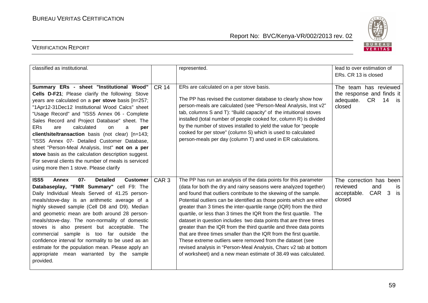

| classified as institutional.                                                                                                                                                                                                                                                                                                                                                                                                                                                                                                                                                                                                                                               |                  | represented.                                                                                                                                                                                                                                                                                                                                                                                                                                                                                                                                                                                                                                                                                                                                                                                                                                        | lead to over estimation of<br>ERs. CR 13 is closed                                                  |
|----------------------------------------------------------------------------------------------------------------------------------------------------------------------------------------------------------------------------------------------------------------------------------------------------------------------------------------------------------------------------------------------------------------------------------------------------------------------------------------------------------------------------------------------------------------------------------------------------------------------------------------------------------------------------|------------------|-----------------------------------------------------------------------------------------------------------------------------------------------------------------------------------------------------------------------------------------------------------------------------------------------------------------------------------------------------------------------------------------------------------------------------------------------------------------------------------------------------------------------------------------------------------------------------------------------------------------------------------------------------------------------------------------------------------------------------------------------------------------------------------------------------------------------------------------------------|-----------------------------------------------------------------------------------------------------|
| Summary ERs - sheet "Institutional Wood"<br>Cells D-F21; Please clarify the following: Stove<br>years are calculated on a per stove basis [n=257;<br>"1Apr12-31Dec12 Institutional Wood Calcs" sheet<br>"Usage Record" and "ISS5 Annex 06 - Complete<br>Sales Record and Project Database" sheet. The<br><b>ERs</b><br>calculated<br>are<br>on<br>a<br>per<br>client/site/transaction basis (not clear) [n=143;<br>"ISS5 Annex 07- Detailed Customer Database,<br>sheet "Person-Meal Analysis, Inst" not on a per<br>stove basis as the calculation description suggest.<br>For several clients the number of meals is serviced<br>using more then 1 stove. Please clarify | <b>CR 14</b>     | ERs are calculated on a per stove basis.<br>The PP has revised the customer database to clearly show how<br>person-meals are calculated (see "Person-Meal Analysis, Inst v2"<br>tab, columns S and T): "Build capacity" of the intuitional stoves<br>installed (total number of people cooked for, column R) is divided<br>by the number of stoves installed to yield the value for "people<br>cooked for per stove" (column S) which is used to calculated<br>person-meals per day (column T) and used in ER calculations.                                                                                                                                                                                                                                                                                                                         | The team has reviewed<br>the response and finds it<br>adequate.<br>CR 14 is<br>closed               |
| <b>ISS5</b><br>$07 -$<br><b>Detailed</b><br>Annex<br><b>Customer</b><br>Databaseplay, "FMR Summary" cell F9: The<br>Daily Individual Meals Served of 41.25 person-<br>meals/stove-day is an arithmetic average of a<br>highly skewed sample (Cell D8 and D9). Median<br>and geometric mean are both around 28 person-<br>meals/stove-day. The non-normality of domestic<br>stoves is also present but acceptable. The<br>commercial sample is too far outside the<br>confidence interval for normality to be used as an<br>estimate for the population mean. Please apply an<br>appropriate mean warranted by the sample<br>provided.                                      | CAR <sub>3</sub> | The PP has run an analysis of the data points for this parameter<br>(data for both the dry and rainy seasons were analyzed together)<br>and found that outliers contribute to the skewing of the sample.<br>Potential outliers can be identified as those points which are either<br>greater than 3 times the inter-quartile range (IQR) from the third<br>quartile, or less than 3 times the IQR from the first quartile. The<br>dataset in question includes two data points that are three times<br>greater than the IQR from the third quartile and three data points<br>that are three times smaller than the IQR from the first quartile.<br>These extreme outliers were removed from the dataset (see<br>revised analysis in "Person-Meal Analysis, Charc v2 tab at bottom<br>of worksheet) and a new mean estimate of 38.49 was calculated. | The correction has been<br>reviewed<br>and<br>is<br>CAR <sub>3</sub><br>acceptable.<br>is<br>closed |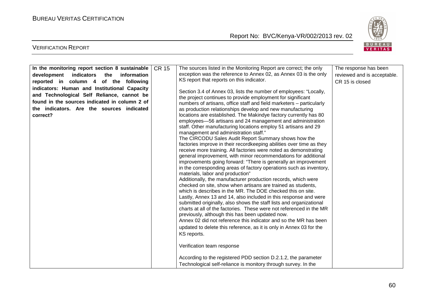

| In the monitoring report section 8 sustainable | <b>CR 15</b> | The sources listed in the Monitoring Report are correct; the only                                                             | The response has been       |
|------------------------------------------------|--------------|-------------------------------------------------------------------------------------------------------------------------------|-----------------------------|
| development<br>indicators the<br>information   |              | exception was the reference to Annex 02, as Annex 03 is the only                                                              | reviewed and is acceptable. |
| reported in column 4 of the following          |              | KS report that reports on this indicator.                                                                                     | CR 15 is closed             |
| indicators: Human and Institutional Capacity   |              |                                                                                                                               |                             |
| and Technological Self Reliance, cannot be     |              | Section 3.4 of Annex 03, lists the number of employees: "Locally,                                                             |                             |
| found in the sources indicated in column 2 of  |              | the project continues to provide employment for significant                                                                   |                             |
| the indicators. Are the sources indicated      |              | numbers of artisans, office staff and field marketers - particularly                                                          |                             |
| correct?                                       |              | as production relationships develop and new manufacturing<br>locations are established. The Makindye factory currently has 80 |                             |
|                                                |              | employees-56 artisans and 24 management and administration                                                                    |                             |
|                                                |              | staff. Other manufacturing locations employ 51 artisans and 29                                                                |                             |
|                                                |              | management and administration staff."                                                                                         |                             |
|                                                |              | The CIRCODU Sales Audit Report Summary shows how the                                                                          |                             |
|                                                |              | factories improve in their recordkeeping abilities over time as they                                                          |                             |
|                                                |              | receive more training. All factories were noted as demonstrating                                                              |                             |
|                                                |              | general improvement, with minor recommendations for additional                                                                |                             |
|                                                |              | improvements going forward: "There is generally an improvement                                                                |                             |
|                                                |              | in the corresponding areas of factory operations such as inventory,                                                           |                             |
|                                                |              | materials, labor and production"<br>Additionally, the manufacturer production records, which were                             |                             |
|                                                |              | checked on site, show when artisans are trained as students,                                                                  |                             |
|                                                |              | which is describes in the MR. The DOE checked this on site.                                                                   |                             |
|                                                |              | Lastly, Annex 13 and 14, also included in this response and were                                                              |                             |
|                                                |              | submitted originally, also shows the staff lists and organizational                                                           |                             |
|                                                |              | charts at all of the factories. These were not referenced in the MR                                                           |                             |
|                                                |              | previously, although this has been updated now.                                                                               |                             |
|                                                |              | Annex 02 did not reference this indicator and so the MR has been                                                              |                             |
|                                                |              | updated to delete this reference, as it is only in Annex 03 for the                                                           |                             |
|                                                |              | KS reports.                                                                                                                   |                             |
|                                                |              |                                                                                                                               |                             |
|                                                |              | Verification team response                                                                                                    |                             |
|                                                |              | According to the registered PDD section D.2.1.2, the parameter                                                                |                             |
|                                                |              | Technological self-reliance is monitory through survey. In the                                                                |                             |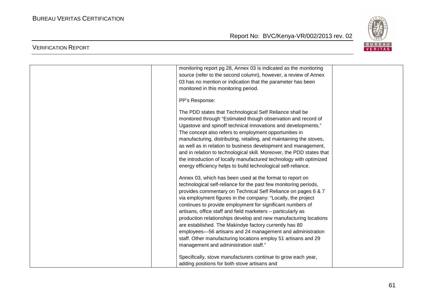

| monitoring report pg 28, Annex 03 is indicated as the monitoring      |  |
|-----------------------------------------------------------------------|--|
| source (refer to the second column), however, a review of Annex       |  |
| 03 has no mention or indication that the parameter has been           |  |
| monitored in this monitoring period.                                  |  |
|                                                                       |  |
| PP's Response:                                                        |  |
| The PDD states that Technological Self Reliance shall be              |  |
| monitored through "Estimated though observation and record of         |  |
| Ugastove and spinoff technical innovations and developments."         |  |
| The concept also refers to employment opportunities in                |  |
| manufacturing, distributing, retailing, and maintaining the stoves,   |  |
|                                                                       |  |
| as well as in relation to business development and management,        |  |
| and in relation to technological skill. Moreover, the PDD states that |  |
| the introduction of locally manufactured technology with optimized    |  |
| energy efficiency helps to build technological self-reliance.         |  |
| Annex 03, which has been used at the format to report on              |  |
| technological self-reliance for the past few monitoring periods,      |  |
| provides commentary on Technical Self Reliance on pages 6 & 7         |  |
| via employment figures in the company: "Locally, the project          |  |
| continues to provide employment for significant numbers of            |  |
| artisans, office staff and field marketers - particularly as          |  |
| production relationships develop and new manufacturing locations      |  |
| are established. The Makindye factory currently has 80                |  |
|                                                                       |  |
| employees-56 artisans and 24 management and administration            |  |
| staff. Other manufacturing locations employ 51 artisans and 29        |  |
| management and administration staff."                                 |  |
| Specifically, stove manufacturers continue to grow each year,         |  |
| adding positions for both stove artisans and                          |  |
|                                                                       |  |